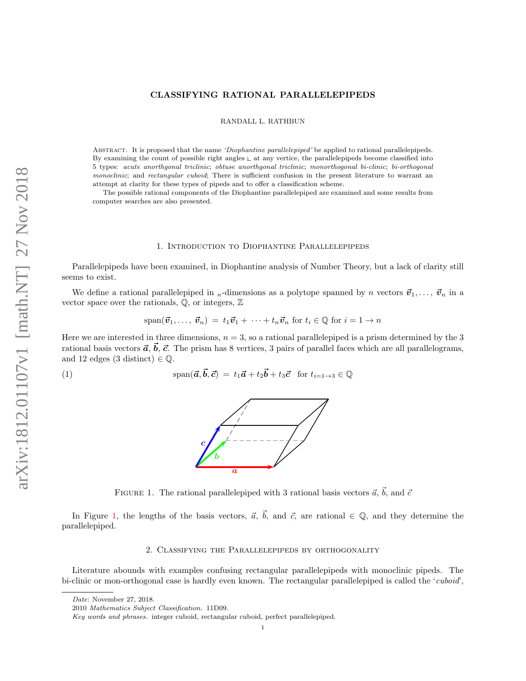# CLASSIFYING RATIONAL PARALLELEPIPEDS

RANDALL L. RATHBUN

Abstract. It is proposed that the name 'Diophantine parallelepiped' be applied to rational parallelepipeds. By examining the count of possible right angles  $\mathbb{L}$  at any vertice, the parallelepipeds become classified into 5 types: acute anorthgonal triclinic; obtuse anorthgonal triclinic; monorthogonal bi-clinic; bi-orthogonal monoclinic; and rectangular cuboid; There is sufficient confusion in the present literature to warrant an attempt at clarity for these types of pipeds and to offer a classification scheme.

The possible rational components of the Diophantine parallelepiped are examined and some results from computer searches are also presented.

#### 1. Introduction to Diophantine Parallelepipeds

Parallelepipeds have been examined, in Diophantine analysis of Number Theory, but a lack of clarity still seems to exist.

We define a rational parallelepiped in <sub>n</sub>-dimensions as a polytope spanned by n vectors  $\vec{v}_1, \ldots, \vec{v}_n$  in a vector space over the rationals,  $\mathbb{Q}$ , or integers,  $\mathbb{Z}$ 

$$
\text{span}(\vec{\boldsymbol{v}}_1,\ldots,\vec{\boldsymbol{v}}_n) = t_1\vec{\boldsymbol{v}}_1 + \cdots + t_n\vec{\boldsymbol{v}}_n \text{ for } t_i \in \mathbb{Q} \text{ for } i = 1 \to n
$$

Here we are interested in three dimensions,  $n = 3$ , so a rational parallelepiped is a prism determined by the 3 rational basis vectors  $\vec{a}, \vec{b}, \vec{c}$ . The prism has 8 vertices, 3 pairs of parallel faces which are all parallelograms, and 12 edges (3 distinct)  $\in \mathbb{Q}$ .

<span id="page-0-0"></span>(1) 
$$
\text{span}(\vec{a}, \vec{b}, \vec{c}) = t_1 \vec{a} + t_2 \vec{b} + t_3 \vec{c} \text{ for } t_{i=1 \to 3} \in \mathbb{Q}
$$

<span id="page-0-1"></span>

FIGURE 1. The rational parallelepiped with 3 rational basis vectors  $\vec{a}, \vec{b}$ , and  $\vec{c}$ 

In Figure [1,](#page-0-0) the lengths of the basis vectors,  $\vec{a}$ ,  $\vec{b}$ , and  $\vec{c}$ , are rational  $\in \mathbb{Q}$ , and they determine the parallelepiped.

# 2. Classifying the Parallelepipeds by orthogonality

Literature abounds with examples confusing rectangular parallelepipeds with monoclinic pipeds. The bi-clinic or mon-orthogonal case is hardly even known. The rectangular parallelepiped is called the 'cuboid',

Date: November 27, 2018.

<sup>2010</sup> Mathematics Subject Classification. 11D09.

Key words and phrases. integer cuboid, rectangular cuboid, perfect parallelepiped.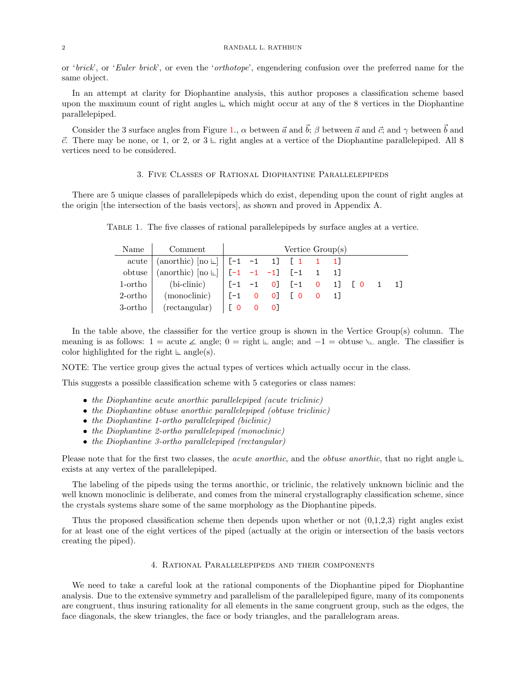or 'brick', or 'Euler brick', or even the 'orthotope', engendering confusion over the preferred name for the same object.

In an attempt at clarity for Diophantine analysis, this author proposes a classification scheme based upon the maximum count of right angles  $\mathbb L$  which might occur at any of the 8 vertices in the Diophantine parallelepiped.

Consider the 3 surface angles from Figure [1.](#page-0-0),  $\alpha$  between  $\vec{a}$  and  $\vec{b}$ ;  $\beta$  between  $\vec{a}$  and  $\vec{c}$ ; and  $\gamma$  between  $\vec{b}$  and  $\vec{c}$ . There may be none, or 1, or 2, or  $3 \text{ }\mathsf{L}$  right angles at a vertice of the Diophantine parallelepiped. All 8 vertices need to be considered.

# 3. Five Classes of Rational Diophantine Parallelepipeds

There are 5 unique classes of parallelepipeds which do exist, depending upon the count of right angles at the origin [the intersection of the basis vectors], as shown and proved in Appendix A.

| Name   Comment                                                                                                                                                                                                                      | Vertice Group(s) |  |  |  |  |  |  |  |
|-------------------------------------------------------------------------------------------------------------------------------------------------------------------------------------------------------------------------------------|------------------|--|--|--|--|--|--|--|
| acute $\vert$ (anorthic) $\vert$ no $\vert$ $\vert$ [-1 -1 1] [1 1 1]                                                                                                                                                               |                  |  |  |  |  |  |  |  |
| obtuse $\vert$ (anorthic) $\vert$ [no \mudd \mudd \mudd \mudd \mudd \mudd \mudd \mudd \mudd \mudd \mudd \mudd \mudd \mudd \mudd \mudd \mudd \mudd \mudd \mudd \mudd \mudd \mudd \mudd \mudd \mudd \mudd \mudd \mudd \mudd \mudd \mu |                  |  |  |  |  |  |  |  |
| 1-ortho $\vert$ (bi-clinic) $\vert$ $[-1 \ -1 \ 0]$ $[-1 \ 0 \ 1]$ $[0 \ 1 \ 1]$                                                                                                                                                    |                  |  |  |  |  |  |  |  |
| 2-ortho $\mod$ (monoclinic) $[-1 \ 0 \ 0]$ $[0 \ 0 \ 1]$                                                                                                                                                                            |                  |  |  |  |  |  |  |  |
| $3\text{-ortho}$ (rectangular) $\begin{bmatrix} 0 & 0 & 0 \end{bmatrix}$                                                                                                                                                            |                  |  |  |  |  |  |  |  |

Table 1. The five classes of rational parallelepipeds by surface angles at a vertice.

In the table above, the classsifier for the vertice group is shown in the Vertice Group(s) column. The meaning is as follows:  $1 = \text{acute } \triangle$  angle;  $0 = \text{right} \vdash \triangle$  angle; and  $-1 = \text{obtuse } \triangle$  angle. The classifier is color highlighted for the right  $\text{L}$  angle(s).

NOTE: The vertice group gives the actual types of vertices which actually occur in the class.

This suggests a possible classification scheme with 5 categories or class names:

- the Diophantine acute anorthic parallelepiped (acute triclinic)
- the Diophantine obtuse anorthic parallelepiped (obtuse triclinic)
- the Diophantine 1-ortho parallelepiped (biclinic)
- the Diophantine 2-ortho parallelepiped (monoclinic)
- the Diophantine 3-ortho parallelepiped (rectangular)

Please note that for the first two classes, the *acute anorthic*, and the *obtuse anorthic*, that no right angle  $\sqsubset$ exists at any vertex of the parallelepiped.

The labeling of the pipeds using the terms anorthic, or triclinic, the relatively unknown biclinic and the well known monoclinic is deliberate, and comes from the mineral crystallography classification scheme, since the crystals systems share some of the same morphology as the Diophantine pipeds.

Thus the proposed classification scheme then depends upon whether or not  $(0,1,2,3)$  right angles exist for at least one of the eight vertices of the piped (actually at the origin or intersection of the basis vectors creating the piped).

#### 4. Rational Parallelepipeds and their components

We need to take a careful look at the rational components of the Diophantine piped for Diophantine analysis. Due to the extensive symmetry and parallelism of the parallelepiped figure, many of its components are congruent, thus insuring rationality for all elements in the same congruent group, such as the edges, the face diagonals, the skew triangles, the face or body triangles, and the parallelogram areas.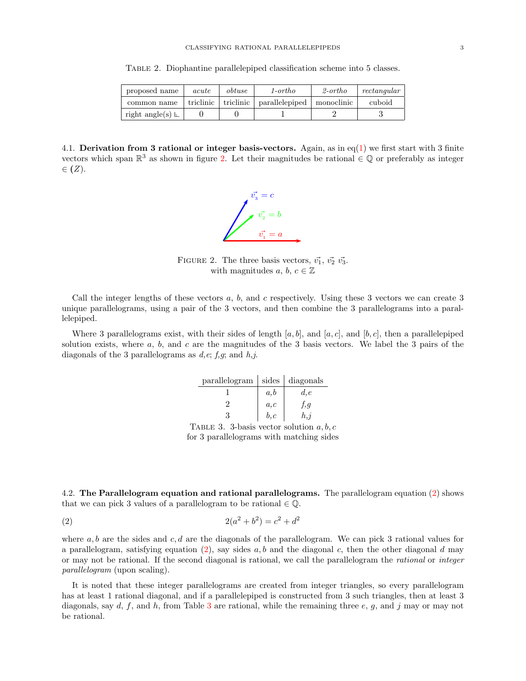Table 2. Diophantine parallelepiped classification scheme into 5 classes.

| proposed name           | acute | obtuse                | 1-ortho        | $2\text{-}ortho$ | rectangular |
|-------------------------|-------|-----------------------|----------------|------------------|-------------|
| common name             |       | triclinic   triclinic | parallelepiped | monoclinic       | cuboid      |
| right angle(s) $\vdash$ |       |                       |                |                  |             |

<span id="page-2-0"></span>4.1. Derivation from 3 rational or integer basis-vectors. Again, as in eq[\(1\)](#page-0-1) we first start with 3 finite vectors which span  $\mathbb{R}^3$  as shown in figure [2.](#page-2-0) Let their magnitudes be rational  $\in \mathbb{Q}$  or preferably as integer  $\in$   $(Z)$ .



FIGURE 2. The three basis vectors,  $\vec{v_1}$ ,  $\vec{v_2}$   $\vec{v_3}$ . with magnitudes a, b,  $c \in \mathbb{Z}$ 

Call the integer lengths of these vectors  $a, b$ , and  $c$  respectively. Using these 3 vectors we can create 3 unique parallelograms, using a pair of the 3 vectors, and then combine the 3 parallelograms into a parallelepiped.

<span id="page-2-2"></span>Where 3 parallelograms exist, with their sides of length [a, b], and [a, c], and [b, c], then a parallelepiped solution exists, where  $a, b$ , and  $c$  are the magnitudes of the 3 basis vectors. We label the 3 pairs of the diagonals of the 3 parallelograms as  $d,e; f,g;$  and  $h,j$ .

| $\text{parallelogram}$   sides   diagonals |      |      |
|--------------------------------------------|------|------|
|                                            | a,b  | d, e |
|                                            | a,c  | f,g  |
|                                            | b, c | h, j |

<span id="page-2-1"></span>TABLE 3. 3-basis vector solution  $a, b, c$ for 3 parallelograms with matching sides

4.2. The Parallelogram equation and rational parallelograms. The parallelogram equation [\(2\)](#page-2-1) shows that we can pick 3 values of a parallelogram to be rational  $\in \mathbb{Q}$ .

(2) 
$$
2(a^2 + b^2) = c^2 + d^2
$$

where  $a, b$  are the sides and  $c, d$  are the diagonals of the parallelogram. We can pick 3 rational values for a parallelogram, satisfying equation  $(2)$ , say sides a, b and the diagonal c, then the other diagonal d may or may not be rational. If the second diagonal is rational, we call the parallelogram the rational or integer parallelogram (upon scaling).

It is noted that these integer parallelograms are created from integer triangles, so every parallelogram has at least 1 rational diagonal, and if a parallelepiped is constructed from 3 such triangles, then at least 3 diagonals, say  $d, f$ , and  $h$ , from Table [3](#page-2-2) are rational, while the remaining three  $e, g$ , and j may or may not be rational.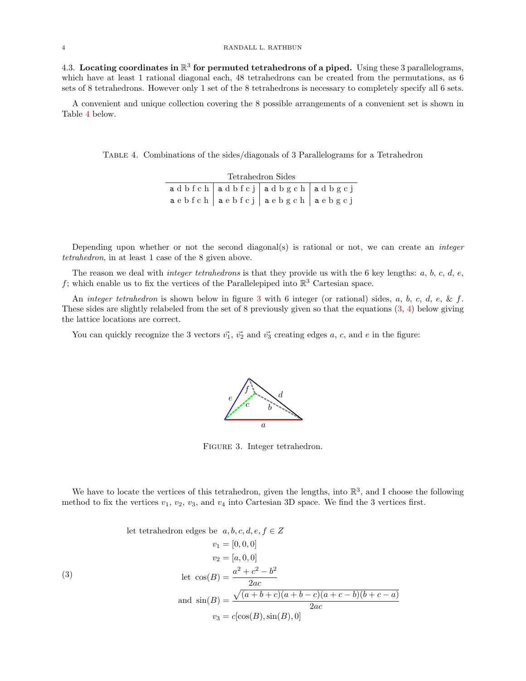4.3. Locating coordinates in  $\mathbb{R}^3$  for permuted tetrahedrons of a piped. Using these 3 parallelograms, which have at least 1 rational diagonal each, 48 tetrahedrons can be created from the permutations, as 6 sets of 8 tetrahedrons. However only 1 set of the 8 tetrahedrons is necessary to completely specify all 6 sets.

A convenient and unique collection covering the 8 possible arrangements of a convenient set is shown in Table [4](#page-3-0) below.

<span id="page-3-0"></span>Table 4. Combinations of the sides/diagonals of 3 Parallelograms for a Tetrahedron

| Tetrahedron Sides |  |                                                               |  |  |  |  |
|-------------------|--|---------------------------------------------------------------|--|--|--|--|
|                   |  | adbfch adbfcj adbgch adbgcj                                   |  |  |  |  |
|                   |  | $a e b f c h$   $a e b f c j$   $a e b g c h$   $a e b g c j$ |  |  |  |  |

Depending upon whether or not the second diagonal(s) is rational or not, we can create an *integer* tetrahedron, in at least 1 case of the 8 given above.

The reason we deal with *integer tetrahedrons* is that they provide us with the 6 key lengths:  $a, b, c, d, e$ , f; which enable us to fix the vertices of the Parallelepiped into  $\mathbb{R}^3$  Cartesian space.

An *integer tetrahedron* is shown below in figure [3](#page-3-1) with 6 integer (or rational) sides, a, b, c, d, e, & f. These sides are slightly relabeled from the set of 8 previously given so that the equations [\(3,](#page-3-2) [4\)](#page-4-0) below giving the lattice locations are correct.

<span id="page-3-1"></span>You can quickly recognize the 3 vectors  $\vec{v_1}$ ,  $\vec{v_2}$  and  $\vec{v_3}$  creating edges a, c, and e in the figure:



FIGURE 3. Integer tetrahedron.

We have to locate the vertices of this tetrahedron, given the lengths, into  $\mathbb{R}^3$ , and I choose the following method to fix the vertices  $v_1, v_2, v_3$ , and  $v_4$  into Cartesian 3D space. We find the 3 vertices first.

<span id="page-3-2"></span>(3) let tetrahedron edges be  $a, b, c, d, e, f \in Z$  $v_1 = [0, 0, 0]$  $v_2 = [a, 0, 0]$ let  $\cos(B) = \frac{a^2 + c^2 - b^2}{2}$ 2ac and  $sin(B) =$  $\sqrt{(a+b+c)(a+b-c)(a+c-b)(b+c-a)}$ 2ac  $v_3 = c[\cos(B), \sin(B), 0]$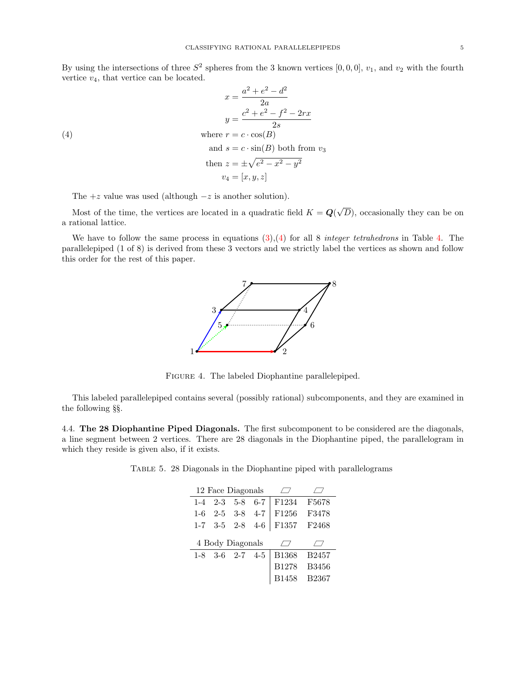By using the intersections of three  $S^2$  spheres from the 3 known vertices  $[0,0,0]$ ,  $v_1$ , and  $v_2$  with the fourth vertice  $v_4$ , that vertice can be located.

(4)  
\n
$$
x = \frac{a^2 + e^2 - d^2}{2a}
$$
\n
$$
y = \frac{c^2 + e^2 - f^2 - 2rx}{2s}
$$
\n
$$
y = \frac{c^2 + e^2 - f^2 - 2rx}{2s}
$$
\n
$$
y = \frac{c \cdot \cos(B)}{2s}
$$
\n
$$
y = c \cdot \sin(B)
$$
\n
$$
y = \frac{c \cdot \sin(B)}{2s}
$$
\n
$$
y = \frac{c \cdot \sin(B)}{2s}
$$
\n
$$
y = \frac{c \cdot \sin(B)}{2s}
$$
\n
$$
y = \frac{c \cdot \sin(B)}{2s}
$$
\n
$$
y = \frac{c \cdot \sin(B)}{2s}
$$
\n
$$
y = \frac{c \cdot \sin(B)}{2s}
$$
\n
$$
y = \frac{c \cdot \sin(B)}{2s}
$$
\n
$$
y = \frac{c \cdot \sin(B)}{2s}
$$
\n
$$
y = \frac{c \cdot \sin(B)}{2s}
$$
\n
$$
y = \frac{c \cdot \sin(B)}{2s}
$$

<span id="page-4-0"></span>The  $+z$  value was used (although  $-z$  is another solution).

Most of the time, the vertices are located in a quadratic field  $K = \mathbf{Q}$ √ D), occasionally they can be on a rational lattice.

We have to follow the same process in equations  $(3),(4)$  $(3),(4)$  $(3),(4)$  for all 8 integer tetrahedrons in Table [4.](#page-3-0) The parallelepiped (1 of 8) is derived from these 3 vectors and we strictly label the vertices as shown and follow this order for the rest of this paper.



Figure 4. The labeled Diophantine parallelepiped.

This labeled parallelepiped contains several (possibly rational) subcomponents, and they are examined in the following §§.

4.4. The 28 Diophantine Piped Diagonals. The first subcomponent to be considered are the diagonals, a line segment between 2 vertices. There are 28 diagonals in the Diophantine piped, the parallelogram in which they reside is given also, if it exists.

Table 5. 28 Diagonals in the Diophantine piped with parallelograms

|         |         | 12 Face Diagonals       |         |              |              |
|---------|---------|-------------------------|---------|--------------|--------------|
| $1 - 4$ | $2 - 3$ | $5-8$                   | $6 - 7$ | F1234        | F5678        |
| $1-6$   |         | $2-5$ 3-8 4-7           |         | F1256        | F3478        |
|         |         | $1-7$ $3-5$ $2-8$ $4-6$ |         | F1357        | F2468        |
|         |         |                         |         |              |              |
|         |         | 4 Body Diagonals        |         |              |              |
|         |         | $1-8$ $3-6$ $2-7$ $4-5$ |         | <b>B1368</b> | <b>B2457</b> |
|         |         |                         |         | B1278        | <b>B3456</b> |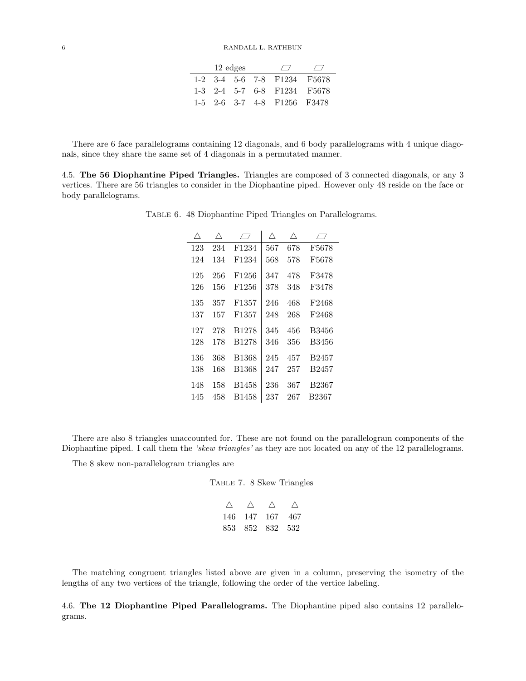|  |  | 12 edges $\Box$ $\Box$ |                                                                                                                                                                                                                                                                                                 |  |
|--|--|------------------------|-------------------------------------------------------------------------------------------------------------------------------------------------------------------------------------------------------------------------------------------------------------------------------------------------|--|
|  |  |                        |                                                                                                                                                                                                                                                                                                 |  |
|  |  |                        |                                                                                                                                                                                                                                                                                                 |  |
|  |  |                        | $\begin{tabular}{c cccc cccc} $1\text{-}2$ & $3\text{-}4$ & $5\text{-}6$ & $7\text{-}8$ & $F1234$ & $F5678$ \\ $1\text{-}3$ & $2\text{-}4$ & $5\text{-}7$ & $6\text{-}8$ & $F1234$ & $F5678$ \\ $1\text{-}5$ & $2\text{-}6$ & $3\text{-}7$ & $4\text{-}8$ & $F1256$ & $F3478$ \\ \end{tabular}$ |  |

There are 6 face parallelograms containing 12 diagonals, and 6 body parallelograms with 4 unique diagonals, since they share the same set of 4 diagonals in a permutated manner.

4.5. The 56 Diophantine Piped Triangles. Triangles are composed of 3 connected diagonals, or any 3 vertices. There are 56 triangles to consider in the Diophantine piped. However only 48 reside on the face or body parallelograms.

TABLE 6. 48 Diophantine Piped Triangles on Parallelograms.

| Λ   | Λ   | $\sqrt{ }$        | Λ   | Λ   | $\prime$ $\prime$ |
|-----|-----|-------------------|-----|-----|-------------------|
| 123 | 234 | F1234             | 567 | 678 | F5678             |
| 124 | 134 | F <sub>1234</sub> | 568 | 578 | F5678             |
| 125 | 256 | F <sub>1256</sub> | 347 | 478 | F3478             |
| 126 | 156 | F <sub>1256</sub> | 378 | 348 | F3478             |
| 135 | 357 | F <sub>1357</sub> | 246 | 468 | F2468             |
| 137 | 157 | F <sub>1357</sub> | 248 | 268 | F2468             |
| 127 | 278 | B1278             | 345 | 456 | B3456             |
| 128 | 178 | B1278             | 346 | 356 | B3456             |
| 136 | 368 | <b>B1368</b>      | 245 | 457 | <b>B2457</b>      |
| 138 | 168 | <b>B1368</b>      | 247 | 257 | <b>B2457</b>      |
| 148 | 158 | <b>B1458</b>      | 236 | 367 | <b>B2367</b>      |
| 145 | 458 | <b>B1458</b>      | 237 | 267 | <b>B2367</b>      |

There are also 8 triangles unaccounted for. These are not found on the parallelogram components of the Diophantine piped. I call them the 'skew triangles' as they are not located on any of the 12 parallelograms.

The 8 skew non-parallelogram triangles are

Table 7. 8 Skew Triangles

| 146- | 147 167         | 467 |
|------|-----------------|-----|
|      | 853 852 832 532 |     |

The matching congruent triangles listed above are given in a column, preserving the isometry of the lengths of any two vertices of the triangle, following the order of the vertice labeling.

4.6. The 12 Diophantine Piped Parallelograms. The Diophantine piped also contains 12 parallelograms.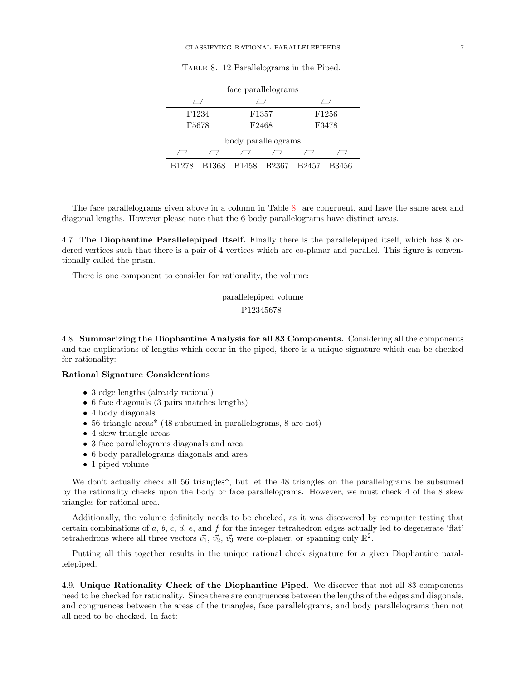| TABLE 8. 12 Parallelograms in the Piped. |  |  |
|------------------------------------------|--|--|
|                                          |  |  |

<span id="page-6-0"></span>

| face parallelograms |       |                |                     |       |                   |  |  |
|---------------------|-------|----------------|---------------------|-------|-------------------|--|--|
|                     |       |                |                     |       |                   |  |  |
| F1234               |       |                | F1357               |       | F <sub>1256</sub> |  |  |
| F5678               |       | F2468<br>F3478 |                     |       |                   |  |  |
|                     |       |                | body parallelograms |       |                   |  |  |
|                     |       |                |                     |       |                   |  |  |
| B1278               | B1368 | B1458          | B2367               | B2457 | B3456             |  |  |

The face parallelograms given above in a column in Table [8.](#page-6-0) are congruent, and have the same area and diagonal lengths. However please note that the 6 body parallelograms have distinct areas.

4.7. The Diophantine Parallelepiped Itself. Finally there is the parallelepiped itself, which has 8 ordered vertices such that there is a pair of 4 vertices which are co-planar and parallel. This figure is conventionally called the prism.

There is one component to consider for rationality, the volume:

$$
\frac{\text{parallellepiped volume}}{\text{P12345678}}
$$

4.8. Summarizing the Diophantine Analysis for all 83 Components. Considering all the components and the duplications of lengths which occur in the piped, there is a unique signature which can be checked for rationality:

### Rational Signature Considerations

- 3 edge lengths (already rational)
- 6 face diagonals (3 pairs matches lengths)
- 4 body diagonals
- 56 triangle areas\* (48 subsumed in parallelograms, 8 are not)
- 4 skew triangle areas
- 3 face parallelograms diagonals and area
- 6 body parallelograms diagonals and area
- 1 piped volume

We don't actually check all 56 triangles\*, but let the 48 triangles on the parallelograms be subsumed by the rationality checks upon the body or face parallelograms. However, we must check 4 of the 8 skew triangles for rational area.

Additionally, the volume definitely needs to be checked, as it was discovered by computer testing that certain combinations of a, b, c, d, e, and f for the integer tetrahedron edges actually led to degenerate 'flat' tetrahedrons where all three vectors  $\vec{v_1}$ ,  $\vec{v_2}$ ,  $\vec{v_3}$  were co-planer, or spanning only  $\mathbb{R}^2$ .

Putting all this together results in the unique rational check signature for a given Diophantine parallelepiped.

4.9. Unique Rationality Check of the Diophantine Piped. We discover that not all 83 components need to be checked for rationality. Since there are congruences between the lengths of the edges and diagonals, and congruences between the areas of the triangles, face parallelograms, and body parallelograms then not all need to be checked. In fact: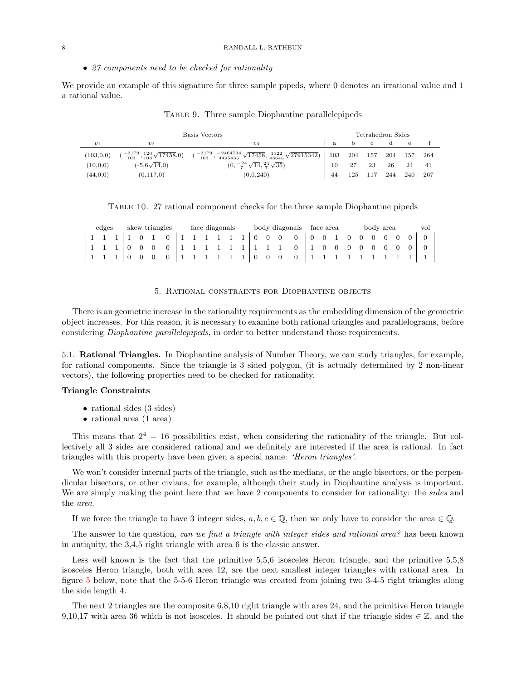• 27 components need to be checked for rationality

We provide an example of this signature for three sample pipeds, where 0 denotes an irrational value and 1 a rational value.

|            | Basis Vectors                                                  |                                                                                                                                   |    |     |     | Tetrahedron Sides |     |      |  |
|------------|----------------------------------------------------------------|-----------------------------------------------------------------------------------------------------------------------------------|----|-----|-----|-------------------|-----|------|--|
| $v_1$      | $v_2$                                                          | $v_{3}$                                                                                                                           |    | D.  | - C |                   | e   |      |  |
| (103, 0.0) | $\left(\frac{-3179}{103},\frac{120}{103}\sqrt{17458},0\right)$ | $\left(\frac{-3179}{103}, \frac{-2464734}{4495435}\sqrt{17458}, \frac{1122}{43645}\sqrt{27915342}\right)$ 103 204 157 204 157 264 |    |     |     |                   |     |      |  |
| (10, 0, 0) | $(-5.6\sqrt{14.0})$                                            | $(0, \frac{-24}{7}\sqrt{14}, \frac{24}{7}\sqrt{35})$                                                                              | 10 | 27  | 23  | 26                | 24  | - 41 |  |
| (44,0,0)   | (0,117,0)                                                      | (0.0.240)                                                                                                                         | 44 | 125 | 117 | 244               | 240 | -267 |  |

Table 9. Three sample Diophantine parallelepipeds

|  |  |  | TABLE 10. 27 rational component checks for the three sample Diophantine pipeds |  |
|--|--|--|--------------------------------------------------------------------------------|--|
|  |  |  |                                                                                |  |
|  |  |  |                                                                                |  |
|  |  |  |                                                                                |  |

|  | edges |  |               | skew triangles |  |  | face diagonals |  |  | body diagonals face area |  |  | body area |  | vol |
|--|-------|--|---------------|----------------|--|--|----------------|--|--|--------------------------|--|--|-----------|--|-----|
|  |       |  | 1 1 1 1 1 0 1 |                |  |  |                |  |  |                          |  |  |           |  |     |
|  |       |  |               |                |  |  |                |  |  |                          |  |  |           |  |     |
|  |       |  |               |                |  |  |                |  |  |                          |  |  |           |  |     |

## 5. Rational constraints for Diophantine objects

There is an geometric increase in the rationality requirements as the embedding dimension of the geometric object increases. For this reason, it is necessary to examine both rational triangles and parallelograms, before considering Diophantine parallelepipeds, in order to better understand those requirements.

5.1. Rational Triangles. In Diophantine analysis of Number Theory, we can study triangles, for example, for rational components. Since the triangle is 3 sided polygon, (it is actually determined by 2 non-linear vectors), the following properties need to be checked for rationality.

# Triangle Constraints

- rational sides (3 sides)
- rational area (1 area)

This means that  $2^4 = 16$  possibilities exist, when considering the rationality of the triangle. But collectively all 3 sides are considered rational and we definitely are interested if the area is rational. In fact triangles with this property have been given a special name: 'Heron triangles'.

We won't consider internal parts of the triangle, such as the medians, or the angle bisectors, or the perpendicular bisectors, or other civians, for example, although their study in Diophantine analysis is important. We are simply making the point here that we have 2 components to consider for rationality: the sides and the area.

If we force the triangle to have 3 integer sides,  $a, b, c \in \mathbb{Q}$ , then we only have to consider the area  $\in \mathbb{Q}$ .

The answer to the question, can we find a triangle with integer sides and rational area? has been known in antiquity, the 3,4,5 right triangle with area 6 is the classic answer.

Less well known is the fact that the primitive 5,5,6 isosceles Heron triangle, and the primitive 5,5,8 isosceles Heron triangle, both with area 12, are the next smallest integer triangles with rational area. In figure [5](#page-8-0) below, note that the 5-5-6 Heron triangle was created from joining two 3-4-5 right triangles along the side length 4.

The next 2 triangles are the composite 6,8,10 right triangle with area 24, and the primitive Heron triangle 9,10,17 with area 36 which is not isosceles. It should be pointed out that if the triangle sides  $\in \mathbb{Z}$ , and the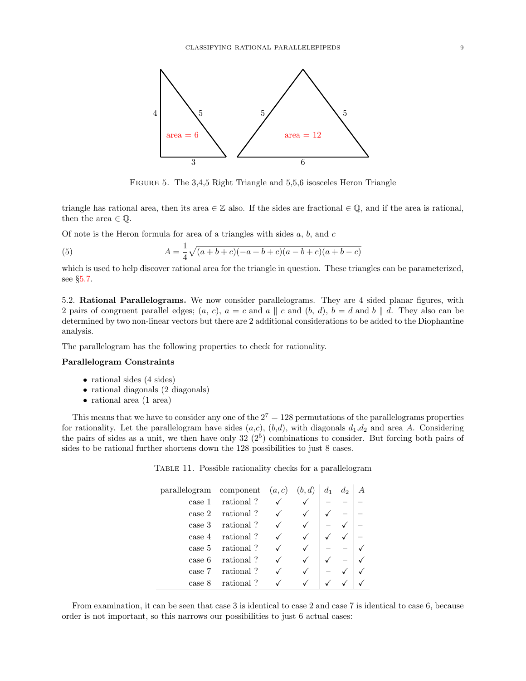<span id="page-8-0"></span>

FIGURE 5. The 3,4,5 Right Triangle and 5,5,6 isosceles Heron Triangle

triangle has rational area, then its area  $\in \mathbb{Z}$  also. If the sides are fractional  $\in \mathbb{Q}$ , and if the area is rational, then the area  $\in \mathbb{Q}$ .

Of note is the Heron formula for area of a triangles with sides  $a, b$ , and  $c$ 

(5) 
$$
A = \frac{1}{4}\sqrt{(a+b+c)(-a+b+c)(a-b+c)(a+b-c)}
$$

which is used to help discover rational area for the triangle in question. These triangles can be parameterized, see §[5.7.](#page-12-0)

5.2. Rational Parallelograms. We now consider parallelograms. They are 4 sided planar figures, with 2 pairs of congruent parallel edges;  $(a, c)$ ,  $a = c$  and  $a \parallel c$  and  $(b, d)$ ,  $b = d$  and  $b \parallel d$ . They also can be determined by two non-linear vectors but there are 2 additional considerations to be added to the Diophantine analysis.

The parallelogram has the following properties to check for rationality.

### Parallelogram Constraints

- rational sides (4 sides)
- rational diagonals (2 diagonals)
- rational area (1 area)

This means that we have to consider any one of the  $2^7 = 128$  permutations of the parallelograms properties for rationality. Let the parallelogram have sides  $(a,c)$ ,  $(b,d)$ , with diagonals  $d_1,d_2$  and area A. Considering the pairs of sides as a unit, we then have only  $32(2^5)$  combinations to consider. But forcing both pairs of sides to be rational further shortens down the 128 possibilities to just 8 cases.

TABLE 11. Possible rationality checks for a parallelogram

| parallelogram | component | (a, c) | (b,d) | $d_1$ | $d_2$ |  |
|---------------|-----------|--------|-------|-------|-------|--|
| case 1        | rational? |        |       |       |       |  |
| case 2        | rational? |        |       |       |       |  |
| case 3        | rational? |        |       |       |       |  |
| case 4        | rational? |        |       |       |       |  |
| case 5        | rational? |        |       |       |       |  |
| case 6        | rational? |        |       |       |       |  |
| case 7        | rational? |        |       |       |       |  |
| case 8        | rational? |        |       |       |       |  |

From examination, it can be seen that case 3 is identical to case 2 and case 7 is identical to case 6, because order is not important, so this narrows our possibilities to just 6 actual cases: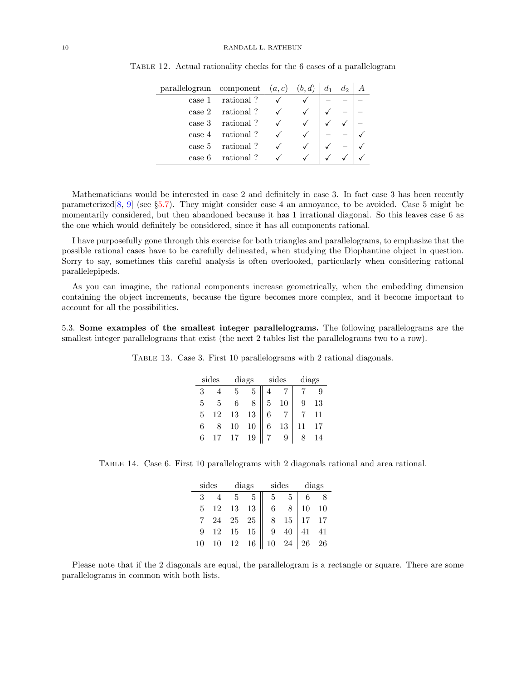| parallelogram component |                     | (a, c) | (b,d) | $d_1$ | $d_2$ |  |
|-------------------------|---------------------|--------|-------|-------|-------|--|
| case 1                  | rational?           |        |       |       |       |  |
|                         | $\case 2$ rational? |        |       |       |       |  |
|                         | $case 3$ rational?  |        |       |       |       |  |
|                         | $case 4$ rational?  |        |       |       |       |  |
|                         | case 5 rational?    |        |       |       |       |  |
| case 6                  | rational?           |        |       |       |       |  |

Table 12. Actual rationality checks for the 6 cases of a parallelogram

 $\mathbf{r}$ 

Mathematicians would be interested in case 2 and definitely in case 3. In fact case 3 has been recently parameterized[\[8,](#page-27-0) [9\]](#page-28-0) (see §[5.7\)](#page-12-0). They might consider case 4 an annoyance, to be avoided. Case 5 might be momentarily considered, but then abandoned because it has 1 irrational diagonal. So this leaves case 6 as the one which would definitely be considered, since it has all components rational.

I have purposefully gone through this exercise for both triangles and parallelograms, to emphasize that the possible rational cases have to be carefully delineated, when studying the Diophantine object in question. Sorry to say, sometimes this careful analysis is often overlooked, particularly when considering rational parallelepipeds.

As you can imagine, the rational components increase geometrically, when the embedding dimension containing the object increments, because the figure becomes more complex, and it become important to account for all the possibilities.

5.3. Some examples of the smallest integer parallelograms. The following parallelograms are the smallest integer parallelograms that exist (the next 2 tables list the parallelograms two to a row).

TABLE 13. Case 3. First 10 parallelograms with 2 rational diagonals.

|   | sides |    | diags  |   | sides | diags |    |  |
|---|-------|----|--------|---|-------|-------|----|--|
| 3 |       |    | 5      |   |       |       |    |  |
| 5 | 5     |    |        | 5 |       |       | 13 |  |
| 5 | 12    | 13 | $13\,$ |   |       |       |    |  |
| 6 |       | 10 | 10     | 6 | 13    |       |    |  |
| 6 | 17    |    | 19     |   |       |       |    |  |

Table 14. Case 6. First 10 parallelograms with 2 diagonals rational and area rational.

|                | sides  |        | diags  | sides           |             | diags |    |  |
|----------------|--------|--------|--------|-----------------|-------------|-------|----|--|
| 3              |        | 5      | -5     | 5.              | $5^{\circ}$ |       |    |  |
| 5 <sup>5</sup> | 12     | 13     | 13     | $6\phantom{.0}$ |             | 10    | 10 |  |
|                | $24\,$ | 25     | $25\,$ | 8               | 15          |       | 17 |  |
| 9              | 12     | $15\,$ | 15     | 9               | 40          | 41    | 41 |  |
| 10             | 10     | 12     | 16     | 10              | 24          | 26    | 26 |  |

Please note that if the 2 diagonals are equal, the parallelogram is a rectangle or square. There are some parallelograms in common with both lists.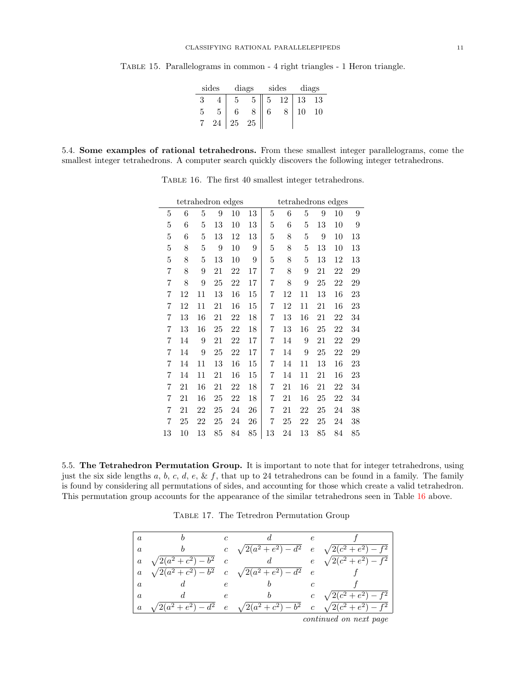| sides |    | diags |                 |                 | sides        | diags |    |  |
|-------|----|-------|-----------------|-----------------|--------------|-------|----|--|
|       |    | 5     | $5\overline{)}$ | $5\overline{)}$ | $12 \mid 13$ |       | 13 |  |
|       | 5  |       |                 | 6               |              |       | 10 |  |
|       | 24 | 25    | 25              |                 |              |       |    |  |

Table 15. Parallelograms in common - 4 right triangles - 1 Heron triangle.

<span id="page-10-0"></span>5.4. Some examples of rational tetrahedrons. From these smallest integer parallelograms, come the smallest integer tetrahedrons. A computer search quickly discovers the following integer tetrahedrons.

|         |    | tetrahedron edges |    |    |                  |    |    | tetrahedrons edges |                  |    |    |
|---------|----|-------------------|----|----|------------------|----|----|--------------------|------------------|----|----|
| 5       | 6  | 5                 | 9  | 10 | 13               | 5  | 6  | 5                  | 9                | 10 | 9  |
| $\bf 5$ | 6  | 5                 | 13 | 10 | 13               | 5  | 6  | 5                  | 13               | 10 | 9  |
| 5       | 6  | $\overline{5}$    | 13 | 12 | 13               | 5  | 8  | 5                  | $\boldsymbol{9}$ | 10 | 13 |
| 5       | 8  | $\overline{5}$    | 9  | 10 | 9                | 5  | 8  | 5                  | 13               | 10 | 13 |
| 5       | 8  | 5                 | 13 | 10 | $\boldsymbol{9}$ | 5  | 8  | 5                  | 13               | 12 | 13 |
| 7       | 8  | 9                 | 21 | 22 | 17               | 7  | 8  | 9                  | 21               | 22 | 29 |
| 7       | 8  | 9                 | 25 | 22 | 17               | 7  | 8  | 9                  | 25               | 22 | 29 |
| 7       | 12 | 11                | 13 | 16 | 15               | 7  | 12 | 11                 | 13               | 16 | 23 |
| 7       | 12 | 11                | 21 | 16 | 15               | 7  | 12 | 11                 | 21               | 16 | 23 |
| 7       | 13 | 16                | 21 | 22 | 18               | 7  | 13 | 16                 | 21               | 22 | 34 |
| 7       | 13 | 16                | 25 | 22 | 18               | 7  | 13 | 16                 | 25               | 22 | 34 |
| 7       | 14 | 9                 | 21 | 22 | 17               | 7  | 14 | 9                  | 21               | 22 | 29 |
| 7       | 14 | 9                 | 25 | 22 | 17               | 7  | 14 | 9                  | 25               | 22 | 29 |
| 7       | 14 | 11                | 13 | 16 | 15               | 7  | 14 | 11                 | 13               | 16 | 23 |
| 7       | 14 | 11                | 21 | 16 | 15               | 7  | 14 | 11                 | 21               | 16 | 23 |
| 7       | 21 | 16                | 21 | 22 | 18               | 7  | 21 | 16                 | 21               | 22 | 34 |
| 7       | 21 | 16                | 25 | 22 | 18               | 7  | 21 | 16                 | 25               | 22 | 34 |
| 7       | 21 | 22                | 25 | 24 | 26               | 7  | 21 | 22                 | 25               | 24 | 38 |
| 7       | 25 | 22                | 25 | 24 | 26               | 7  | 25 | 22                 | 25               | 24 | 38 |
| 13      | 10 | 13                | 85 | 84 | 85               | 13 | 24 | 13                 | 85               | 84 | 85 |

TABLE 16. The first 40 smallest integer tetrahedrons.

5.5. The Tetrahedron Permutation Group. It is important to note that for integer tetrahedrons, using just the six side lengths  $a, b, c, d, e, \& f$ , that up to 24 tetrahedrons can be found in a family. The family is found by considering all permutations of sides, and accounting for those which create a valid tetrahedron. This permutation group accounts for the appearance of the similar tetrahedrons seen in Table [16](#page-10-0) above.

Table 17. The Tetredron Permutation Group

| $\overline{a}$   |                             |               |                                                           | $\epsilon$     |                             |
|------------------|-----------------------------|---------------|-----------------------------------------------------------|----------------|-----------------------------|
| $\alpha$         |                             | $\mathcal{C}$ | $\sqrt{2(a^2 + e^2)} - d^2$ e $\sqrt{2(c^2 + e^2)} - f^2$ |                |                             |
| $\alpha$         | $\sqrt{2(a^2+c^2)}-b^2$ c   |               |                                                           |                | $e \sqrt{2(c^2+e^2)}-f^2$   |
| $\alpha$         |                             |               | $\sqrt{2(a^2+c^2)}-b^2$ c $\sqrt{2(a^2+e^2)}-d^2$         | $\epsilon$     |                             |
| $\it a$          |                             | $\epsilon$    |                                                           |                |                             |
| $\alpha$         |                             | e             |                                                           | $\mathfrak{c}$ | $\sqrt{2(c^2+e^2)}-f^2$     |
| $\boldsymbol{a}$ | $\sqrt{2(a^2 + e^2)} - d^2$ |               | $e \sqrt{2(a^2+c^2)}-b^2$                                 |                | $c \sqrt{2(c^2+e^2)} - f^2$ |
|                  |                             |               |                                                           |                |                             |

continued on next page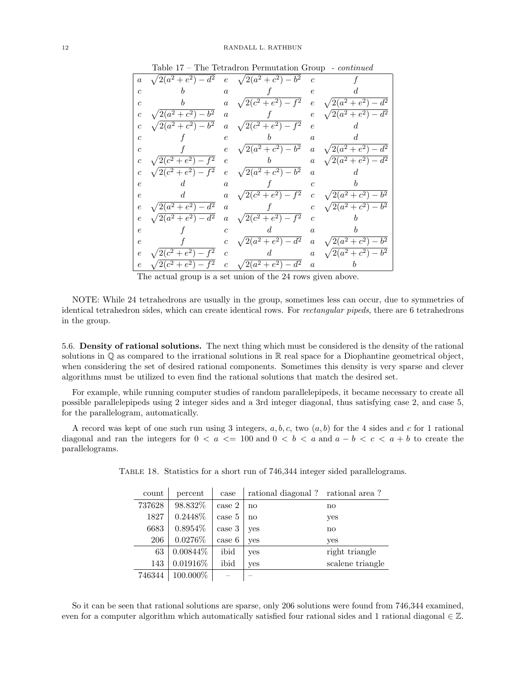| $\boldsymbol{a}$ |                             |                  | $\sqrt{2(a^2 + e^2) - d^2}$ e $\sqrt{2(a^2 + c^2) - b^2}$ | $\overline{c}$   |                               |
|------------------|-----------------------------|------------------|-----------------------------------------------------------|------------------|-------------------------------|
| $\mathfrak{c}$   |                             | $\alpha$         |                                                           | $\epsilon$       |                               |
| $\overline{c}$   | b                           | $\boldsymbol{a}$ | $\sqrt{2(c^2+e^2)-f^2}$                                   |                  | $e \sqrt{2(a^2 + e^2)} - d^2$ |
| $\boldsymbol{c}$ | $\sqrt{2(a^2+c^2)-b^2}$     | $\overline{a}$   |                                                           | $\,e\,$          | $\sqrt{2(a^2+e^2)-d^2}$       |
| $\mathfrak{c}$   | $\sqrt{2(a^2+c^2)}-b^2$     | $\boldsymbol{a}$ | $\sqrt{2(c^2+e^2)}-f^2$                                   | $\epsilon$       | d.                            |
| $\overline{c}$   |                             | $\epsilon$       | b                                                         | $\alpha$         | d                             |
| $\overline{c}$   |                             | $\epsilon$       | $\sqrt{2(a^2+c^2)-b^2}$                                   |                  | $a \sqrt{2(a^2 + e^2) - d^2}$ |
| $\overline{c}$   | $\sqrt{2(c^2+e^2)-f^2}$     | $\epsilon$       | b                                                         | $\boldsymbol{a}$ | $\sqrt{2(a^2 + e^2)} - d^2$   |
| $\overline{c}$   | $\sqrt{2(c^2 + e^2) - f^2}$ | $\epsilon$       | $\sqrt{2(a^2+c^2)-b^2}$                                   | $\alpha$         |                               |
| $\epsilon$       | d.                          | $\alpha$         |                                                           | $\overline{c}$   |                               |
| $\epsilon$       | $d_{-}$                     | $\boldsymbol{a}$ | $\sqrt{2(c^2+e^2)}-f^2$                                   | $\overline{c}$   | $\sqrt{2(a^2+c^2)}-b^2$       |
| $\epsilon$       | $\sqrt{2(a^2 + e^2)} - d^2$ | $\overline{a}$   |                                                           |                  | $\sqrt{2(a^2+c^2)-b^2}$       |
| $\epsilon$       | $\sqrt{2(a^2 + e^2) - d^2}$ | $\boldsymbol{a}$ | $\sqrt{2(c^2+e^2)}-f^2$                                   | $\overline{c}$   |                               |
| $\epsilon$       |                             | $\epsilon$       | d.                                                        | $\alpha$         |                               |
| $\epsilon$       |                             | $\,c\,$          | $\sqrt{2(a^2+e^2)-d^2}$                                   |                  | $a \sqrt{2(a^2+c^2)-b^2}$     |
| $\epsilon$       | $\sqrt{2(c^2+e^2)-f^2}$     | $\overline{c}$   | $\mathfrak{a}$                                            | $\boldsymbol{a}$ | $\sqrt{2(a^2+c^2)-b^2}$       |
| $\,e\,$          | $\sqrt{2(c^2+e^2)}-f^2$     |                  | c $\sqrt{2(a^2+e^2)-d^2}$                                 | $\boldsymbol{a}$ |                               |
|                  |                             |                  | $\sim$ $\sim$ $\sim$ $\sim$ $\sim$                        |                  |                               |

Table 17 – The Tetradron Permutation Group - continued

The actual group is a set union of the 24 rows given above.

NOTE: While 24 tetrahedrons are usually in the group, sometimes less can occur, due to symmetries of identical tetrahedron sides, which can create identical rows. For rectangular pipeds, there are 6 tetrahedrons in the group.

5.6. Density of rational solutions. The next thing which must be considered is the density of the rational solutions in  $\mathbb Q$  as compared to the irrational solutions in  $\mathbb R$  real space for a Diophantine geometrical object, when considering the set of desired rational components. Sometimes this density is very sparse and clever algorithms must be utilized to even find the rational solutions that match the desired set.

For example, while running computer studies of random parallelepipeds, it became necessary to create all possible parallelepipeds using 2 integer sides and a 3rd integer diagonal, thus satisfying case 2, and case 5, for the parallelogram, automatically.

A record was kept of one such run using 3 integers,  $a, b, c$ , two  $(a, b)$  for the 4 sides and c for 1 rational diagonal and ran the integers for  $0 < a \leq 100$  and  $0 < b < a$  and  $a - b < c < a + b$  to create the parallelograms.

| count  | percent     | case   | rational diagonal? rational area? |                        |
|--------|-------------|--------|-----------------------------------|------------------------|
| 737628 | 98.832%     | case 2 | no                                | $\mathbf{n}$           |
| 1827   | 0.2448\%    | case 5 | no                                | yes                    |
| 6683   | $0.8954\%$  | case 3 | yes                               | $\mathbf{n}\mathbf{o}$ |
| 206    | 0.0276\%    | case 6 | yes                               | yes                    |
| 63     | $0.00844\%$ | ibid   | yes                               | right triangle         |
| 143    | 0.01916%    | ibid   | yes                               | scalene triangle       |
| 746344 | 100.000\%   |        |                                   |                        |

Table 18. Statistics for a short run of 746,344 integer sided parallelograms.

So it can be seen that rational solutions are sparse, only 206 solutions were found from 746,344 examined, even for a computer algorithm which automatically satisfied four rational sides and 1 rational diagonal  $\in \mathbb{Z}$ .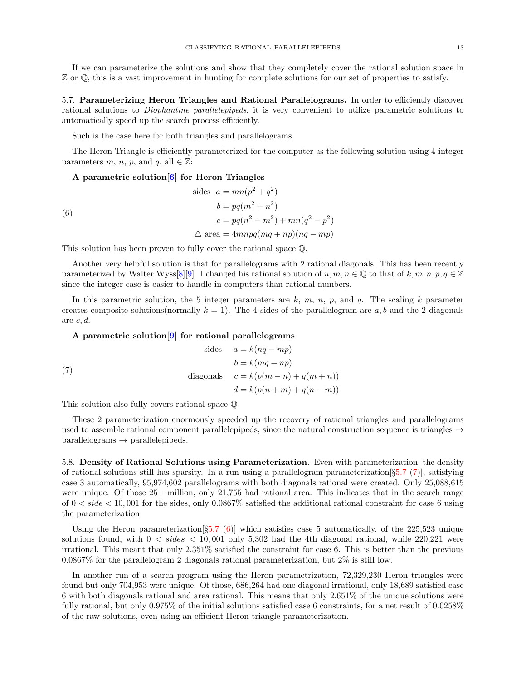If we can parameterize the solutions and show that they completely cover the rational solution space in Z or Q, this is a vast improvement in hunting for complete solutions for our set of properties to satisfy.

<span id="page-12-0"></span>5.7. Parameterizing Heron Triangles and Rational Parallelograms. In order to efficiently discover rational solutions to Diophantine parallelepipeds, it is very convenient to utilize parametric solutions to automatically speed up the search process efficiently.

Such is the case here for both triangles and parallelograms.

The Heron Triangle is efficiently parameterized for the computer as the following solution using 4 integer parameters m, n, p, and q, all  $\in \mathbb{Z}$ :

### <span id="page-12-2"></span>A parametric solution[\[6\]](#page-27-1) for Heron Triangles

(6)

\n
$$
\text{ sides } a = mn(p^2 + q^2)
$$
\n
$$
b = pq(m^2 + n^2)
$$
\n
$$
c = pq(n^2 - m^2) + mn(q^2 - p^2)
$$
\n
$$
\triangle \text{ area } = 4mnpq(mq + np)(nq - mp)
$$

This solution has been proven to fully cover the rational space Q.

Another very helpful solution is that for parallelograms with 2 rational diagonals. This has been recently parameterized by Walter Wyss[\[8\]](#page-27-0)[\[9\]](#page-28-0). I changed his rational solution of  $u, m, n \in \mathbb{Q}$  to that of  $k, m, n, p, q \in \mathbb{Z}$ since the integer case is easier to handle in computers than rational numbers.

In this parametric solution, the 5 integer parameters are  $k$ ,  $m$ ,  $n$ ,  $p$ , and  $q$ . The scaling  $k$  parameter creates composite solutions(normally  $k = 1$ ). The 4 sides of the parallelogram are a, b and the 2 diagonals are  $c, d$ .

### <span id="page-12-1"></span>A parametric solution[\[9\]](#page-28-0) for rational parallelograms

(7) sides 
$$
a = k(nq - mp)
$$
  
\n $b = k(mq + np)$   
\ndiagonals  $c = k(p(m - n) + q(m + n))$   
\n $d = k(p(n + m) + q(n - m))$ 

This solution also fully covers rational space Q

These 2 parameterization enormously speeded up the recovery of rational triangles and parallelograms used to assemble rational component parallelepipeds, since the natural construction sequence is triangles  $\rightarrow$  $parallellograms \rightarrow parallelepipeds.$ 

5.8. Density of Rational Solutions using Parameterization. Even with parameterization, the density of rational solutions still has sparsity. In a run using a parallelogram parameterization  $[§5.7 (7)]$  $[§5.7 (7)]$  $[§5.7 (7)]$  $[§5.7 (7)]$  $[§5.7 (7)]$ , satisfying case 3 automatically, 95,974,602 parallelograms with both diagonals rational were created. Only 25,088,615 were unique. Of those  $25+$  million, only 21,755 had rational area. This indicates that in the search range of  $0 < side < 10,001$  for the sides, only  $0.0867\%$  satisfied the additional rational constraint for case 6 using the parameterization.

Using the Heron parameterization  $[\S5.7(6)]$  $[\S5.7(6)]$  $[\S5.7(6)]$  $[\S5.7(6)]$  which satisfies case 5 automatically, of the 225,523 unique solutions found, with  $0 < sides < 10,001$  only 5,302 had the 4th diagonal rational, while 220,221 were irrational. This meant that only 2.351% satisfied the constraint for case 6. This is better than the previous 0.0867% for the parallelogram 2 diagonals rational parameterization, but 2% is still low.

In another run of a search program using the Heron parametrization, 72,329,230 Heron triangles were found but only 704,953 were unique. Of those, 686,264 had one diagonal irrational, only 18,689 satisfied case 6 with both diagonals rational and area rational. This means that only 2.651% of the unique solutions were fully rational, but only 0.975% of the initial solutions satisfied case 6 constraints, for a net result of 0.0258% of the raw solutions, even using an efficient Heron triangle parameterization.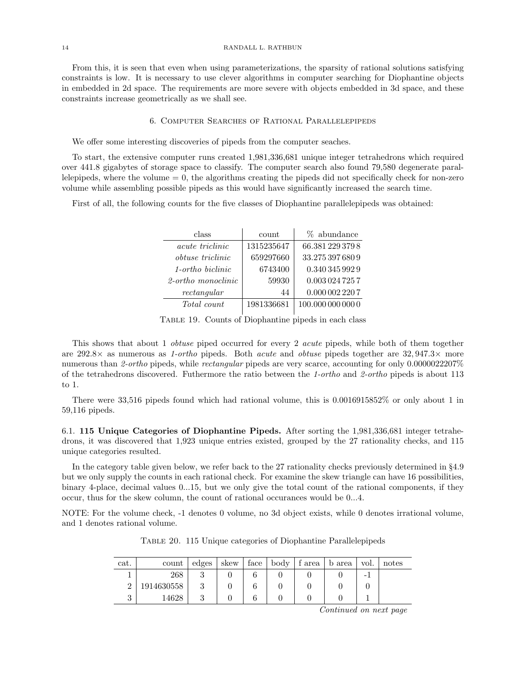From this, it is seen that even when using parameterizations, the sparsity of rational solutions satisfying constraints is low. It is necessary to use clever algorithms in computer searching for Diophantine objects in embedded in 2d space. The requirements are more severe with objects embedded in 3d space, and these constraints increase geometrically as we shall see.

## 6. Computer Searches of Rational Parallelepipeds

We offer some interesting discoveries of pipeds from the computer seaches.

To start, the extensive computer runs created 1,981,336,681 unique integer tetrahedrons which required over 441.8 gigabytes of storage space to classify. The computer search also found 79,580 degenerate parallelepipeds, where the volume  $= 0$ , the algorithms creating the pipeds did not specifically check for non-zero volume while assembling possible pipeds as this would have significantly increased the search time.

First of all, the following counts for the five classes of Diophantine parallelepipeds was obtained:

| class                   | count      | % abundance       |
|-------------------------|------------|-------------------|
| acute triclinic         | 1315235647 | 66.381 229 379 8  |
| <i>obtuse triclinic</i> | 659297660  | 33.275 397 680 9  |
| 1-ortho biclinic        | 6743400    | 0.340 345 992 9   |
| 2-ortho monoclinic      | 59930      | 0.0030247257      |
| rectangular             | 44         | 0.0000022207      |
| Total count             | 1981336681 | 100.000 000 000 0 |

Table 19. Counts of Diophantine pipeds in each class

This shows that about 1 *obtuse* piped occurred for every 2 *acute* pipeds, while both of them together are 292.8 $\times$  as numerous as 1-ortho pipeds. Both *acute* and *obtuse* pipeds together are 32,947.3 $\times$  more numerous than 2-ortho pipeds, while rectangular pipeds are very scarce, accounting for only 0.0000022207% of the tetrahedrons discovered. Futhermore the ratio between the 1-ortho and 2-ortho pipeds is about 113 to 1.

There were 33,516 pipeds found which had rational volume, this is 0.0016915852% or only about 1 in 59,116 pipeds.

6.1. 115 Unique Categories of Diophantine Pipeds. After sorting the 1,981,336,681 integer tetrahedrons, it was discovered that 1,923 unique entries existed, grouped by the 27 rationality checks, and 115 unique categories resulted.

In the category table given below, we refer back to the 27 rationality checks previously determined in §4.9 but we only supply the counts in each rational check. For examine the skew triangle can have 16 possibilities, binary 4-place, decimal values 0...15, but we only give the total count of the rational components, if they occur, thus for the skew column, the count of rational occurances would be 0...4.

NOTE: For the volume check, -1 denotes 0 volume, no 3d object exists, while 0 denotes irrational volume, and 1 denotes rational volume.

| cat.   | count      | edges | skew | face | body | f area | b area | vol. | notes |
|--------|------------|-------|------|------|------|--------|--------|------|-------|
|        | 268        | IJ    |      |      |      |        |        | -    |       |
| ົ      | 1914630558 | റ     |      |      |      |        |        |      |       |
| റ<br>◡ | 14628      |       |      |      |      |        |        |      |       |

Table 20. 115 Unique categories of Diophantine Parallelepipeds

Continued on next page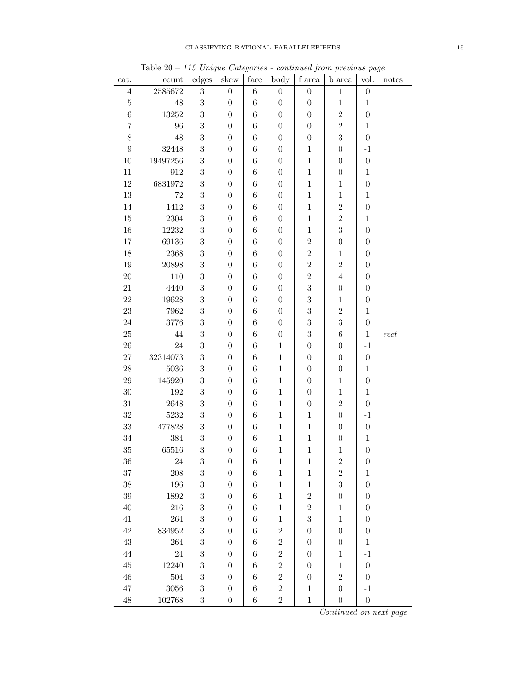|                  | ⊥avit 40             |                     |                  | face        |                          |                                           | 110 Unique Categories - continua from previous page |                  |        |
|------------------|----------------------|---------------------|------------------|-------------|--------------------------|-------------------------------------------|-----------------------------------------------------|------------------|--------|
| cat.             | count<br>$2585672\,$ | edges<br>$\sqrt{3}$ | skew             |             | body<br>$\boldsymbol{0}$ | $\boldsymbol{f}$ area<br>$\boldsymbol{0}$ | <b>b</b> area                                       | vol.             | notes  |
| $\,4\,$          |                      |                     | $\boldsymbol{0}$ | $\,6\,$     |                          |                                           | $\mathbf{1}$                                        | $\boldsymbol{0}$ |        |
| $\bf 5$          | $48\,$               | $\overline{3}$      | $\boldsymbol{0}$ | $\,6$       | $\boldsymbol{0}$         | $\boldsymbol{0}$                          | $\,1$                                               | $\mathbf{1}$     |        |
| $\,6$            | $13252\,$            | $\overline{3}$      | $\boldsymbol{0}$ | $\,6\,$     | $\boldsymbol{0}$         | $\boldsymbol{0}$                          | $\overline{2}$                                      | $\boldsymbol{0}$ |        |
| $\overline{7}$   | $96\,$               | $\overline{3}$      | $\boldsymbol{0}$ | $\,6\,$     | $\boldsymbol{0}$         | $\boldsymbol{0}$                          | $\overline{2}$                                      | $\,1$            |        |
| 8                | $48\,$               | $\overline{3}$      | $\boldsymbol{0}$ | $\,6\,$     | $\boldsymbol{0}$         | $\boldsymbol{0}$                          | $\overline{3}$                                      | $\boldsymbol{0}$ |        |
| $\boldsymbol{9}$ | $32448\,$            | $\boldsymbol{3}$    | $\boldsymbol{0}$ | $\;6\;$     | $\boldsymbol{0}$         | $\,1$                                     | $\boldsymbol{0}$                                    | $-1$             |        |
| 10               | 19497256             | $\boldsymbol{3}$    | $\boldsymbol{0}$ | $\;6\;$     | $\boldsymbol{0}$         | $\mathbf{1}$                              | $\boldsymbol{0}$                                    | $\boldsymbol{0}$ |        |
| 11               | $\boldsymbol{912}$   | $\boldsymbol{3}$    | $\boldsymbol{0}$ | $\,6$       | $\boldsymbol{0}$         | $\,1$                                     | $\boldsymbol{0}$                                    | $\,1\,$          |        |
| 12               | 6831972              | $\overline{3}$      | $\boldsymbol{0}$ | $\,6$       | $\boldsymbol{0}$         | $\mathbf{1}$                              | $\mathbf{1}$                                        | $\boldsymbol{0}$ |        |
| $13\,$           | $72\,$               | $\boldsymbol{3}$    | $\boldsymbol{0}$ | $\,6$       | $\boldsymbol{0}$         | $\,1$                                     | $\mathbf{1}$                                        | $\,1\,$          |        |
| 14               | 1412                 | $\boldsymbol{3}$    | $\boldsymbol{0}$ | $\,6$       | $\boldsymbol{0}$         | $\mathbf{1}$                              | $\overline{2}$                                      | $\boldsymbol{0}$ |        |
| $15\,$           | $\,2304$             | $\overline{3}$      | $\boldsymbol{0}$ | $\,6$       | $\boldsymbol{0}$         | $\mathbf{1}$                              | $\,2$                                               | $\,1$            |        |
| $16\,$           | $12232\,$            | $\overline{3}$      | $\boldsymbol{0}$ | $\,6\,$     | $\boldsymbol{0}$         | $\mathbf{1}$                              | $\overline{3}$                                      | $\boldsymbol{0}$ |        |
| 17               | 69136                | $\sqrt{3}$          | $\boldsymbol{0}$ | $\,6$       | $\boldsymbol{0}$         | $\overline{2}$                            | $\boldsymbol{0}$                                    | $\boldsymbol{0}$ |        |
| 18               | $2368\,$             | $\boldsymbol{3}$    | $\boldsymbol{0}$ | $\,6$       | $\boldsymbol{0}$         | $\overline{2}$                            | $\,1$                                               | $\boldsymbol{0}$ |        |
| 19               | $20898\,$            | $\overline{3}$      | $\boldsymbol{0}$ | $\,6\,$     | $\boldsymbol{0}$         | $\overline{2}$                            | $\,2$                                               | $\boldsymbol{0}$ |        |
| $20\,$           | $110\,$              | $\overline{3}$      | $\boldsymbol{0}$ | $\,6\,$     | $\boldsymbol{0}$         | $\overline{2}$                            | $\,4\,$                                             | $\boldsymbol{0}$ |        |
| $21\,$           | 4440                 | $\sqrt{3}$          | $\boldsymbol{0}$ | $\,6$       | $\boldsymbol{0}$         | 3                                         | $\boldsymbol{0}$                                    | $\boldsymbol{0}$ |        |
| $22\,$           | $19628\,$            | $\overline{3}$      | $\boldsymbol{0}$ | $\,6$       | $\boldsymbol{0}$         | $\overline{3}$                            | $\,1$                                               | $\boldsymbol{0}$ |        |
| $23\,$           | 7962                 | $\sqrt{3}$          | $\boldsymbol{0}$ | $\,6\,$     | $\boldsymbol{0}$         | $\overline{3}$                            | $\,2$                                               | $\,1\,$          |        |
| $24\,$           | 3776                 | $\boldsymbol{3}$    | $\boldsymbol{0}$ | $\;6\;$     | $\boldsymbol{0}$         | $\overline{3}$                            | $\overline{3}$                                      | $\boldsymbol{0}$ |        |
| $25\,$           | $44\,$               | $\sqrt{3}$          | $\boldsymbol{0}$ | $\,6$       | $\boldsymbol{0}$         | $\boldsymbol{3}$                          | $\,6\,$                                             | $\,1$            | $rect$ |
| $26\,$           | $24\,$               | $\overline{3}$      | $\boldsymbol{0}$ | $\,6$       | $\mathbf{1}$             | $\boldsymbol{0}$                          | $\boldsymbol{0}$                                    | $^{\rm -1}$      |        |
| $27\,$           | 32314073             | $\overline{3}$      | $\boldsymbol{0}$ | $\,6$       | $\,1$                    | $\boldsymbol{0}$                          | $\boldsymbol{0}$                                    | $\boldsymbol{0}$ |        |
| $28\,$           | 5036                 | $\overline{3}$      | $\boldsymbol{0}$ | $\,6$       | $\,1$                    | $\boldsymbol{0}$                          | $\boldsymbol{0}$                                    | $\mathbf 1$      |        |
| $\,29$           | 145920               | $\boldsymbol{3}$    | $\boldsymbol{0}$ | $\,6$       | $\,1$                    | $\boldsymbol{0}$                          | $\mathbf{1}$                                        | $\boldsymbol{0}$ |        |
| $30\,$           | $192\,$              | $\overline{3}$      | $\boldsymbol{0}$ | $\,6$       | $\,1$                    | $\boldsymbol{0}$                          | $\,1$                                               | $\,1\,$          |        |
| $31\,$           | $2648\,$             | $\overline{3}$      | $\boldsymbol{0}$ | $\,6\,$     | $\,1$                    | $\boldsymbol{0}$                          | $\,2$                                               | $\boldsymbol{0}$ |        |
| $32\,$           | $5232\,$             | $\overline{3}$      | $\boldsymbol{0}$ | $\,6\,$     | $\,1$                    | $\,1$                                     | $\boldsymbol{0}$                                    | $-1$             |        |
| 33               | 477828               | $\sqrt{3}$          | $\boldsymbol{0}$ | $\,6\,$     | $\,1$                    | $\,1$                                     | $\boldsymbol{0}$                                    | $\boldsymbol{0}$ |        |
| 34               | $384\,$              | $\overline{3}$      | $\boldsymbol{0}$ | $\,6$       | $\,1$                    | $\,1$                                     | $\boldsymbol{0}$                                    | $\mathbf{1}$     |        |
| 35               | 65516                | 3                   | $\boldsymbol{0}$ | $\,$ 6 $\,$ | $\mathbf{1}$             | $\mathbf{1}$                              | $\mathbf{1}$                                        | $\boldsymbol{0}$ |        |
| 36               | $24\,$               | $\sqrt{3}$          | $\boldsymbol{0}$ | $\,6$       | $\mathbf 1$              | $\,1$                                     | $\overline{2}$                                      | $\boldsymbol{0}$ |        |
| 37               | 208                  | $\,3$               | $\boldsymbol{0}$ | $\,6$       | $\mathbf 1$              | $\,1$                                     | $\overline{2}$                                      | $\mathbf 1$      |        |
| 38               | 196                  | $\overline{3}$      | $\boldsymbol{0}$ | $\,6$       | $\mathbf 1$              | $\,1$                                     | 3                                                   | $\boldsymbol{0}$ |        |
| $39\,$           | 1892                 | $\boldsymbol{3}$    | $\boldsymbol{0}$ | $\,6$       | $\,1$                    | $\overline{2}$                            | $\boldsymbol{0}$                                    | $\boldsymbol{0}$ |        |
| 40               | 216                  | $\boldsymbol{3}$    | $\boldsymbol{0}$ | $\,6$       | $\mathbf 1$              | $\overline{2}$                            | $\mathbf{1}$                                        | $\boldsymbol{0}$ |        |
| $41\,$           | 264                  | $\boldsymbol{3}$    | $\boldsymbol{0}$ | $\,6$       | $\mathbf 1$              | 3                                         | $\mathbf{1}$                                        | $\boldsymbol{0}$ |        |
| 42               | 834952               | $\boldsymbol{3}$    | $\boldsymbol{0}$ | $\,6$       | $\overline{2}$           | $\boldsymbol{0}$                          | $\overline{0}$                                      | $\boldsymbol{0}$ |        |
| 43               | 264                  | $\boldsymbol{3}$    | $\boldsymbol{0}$ | $\,6$       | $\overline{2}$           | $\boldsymbol{0}$                          | $\boldsymbol{0}$                                    | $\,1\,$          |        |
| 44               | $24\,$               | $\boldsymbol{3}$    | $\boldsymbol{0}$ | $\,6$       | $\sqrt{2}$               | $\boldsymbol{0}$                          | $\,1$                                               | $-1$             |        |
| $45\,$           | 12240                | $\overline{3}$      | $\boldsymbol{0}$ | $\,6$       | $\sqrt{2}$               | $\boldsymbol{0}$                          | $\mathbf{1}$                                        | $\boldsymbol{0}$ |        |
| 46               | 504                  | $\boldsymbol{3}$    | $\boldsymbol{0}$ | $\,6$       | $\sqrt{2}$               | $\boldsymbol{0}$                          | $\overline{2}$                                      | $\boldsymbol{0}$ |        |
| 47               | 3056                 | $\overline{3}$      | $\boldsymbol{0}$ | $\,6$       | $\overline{2}$           | $\mathbf{1}$                              | $\overline{0}$                                      | $-1$             |        |
| $48\,$           | 102768               | $\sqrt{3}$          | $\boldsymbol{0}$ | $\,6$       | $\overline{2}$           | $\,1$                                     | $\boldsymbol{0}$                                    | $\boldsymbol{0}$ |        |
|                  |                      |                     |                  |             |                          |                                           |                                                     |                  |        |

Table  $20 - 115$  Unique Categories - continued from previous page

Continued on next page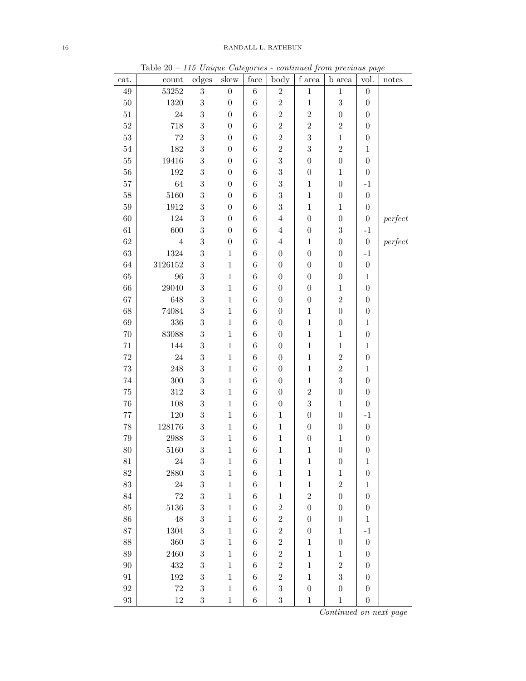|                   | ravit zv   |                  |                  |               |                  |                  | 110 Unique Categories - continua from previous page |                  |         |
|-------------------|------------|------------------|------------------|---------------|------------------|------------------|-----------------------------------------------------|------------------|---------|
| cat.              | count      | edges            | skew             | $_{\rm face}$ | body             | f area           | b area                                              | vol.             | notes   |
| $49\,$            | $53252\,$  | $\sqrt{3}$       | $\boldsymbol{0}$ | $\,6$         | $\,2$            | $\,1\,$          | $\,1$                                               | $\boldsymbol{0}$ |         |
| $50\,$            | 1320       | $\boldsymbol{3}$ | $\boldsymbol{0}$ | $\,6$         | $\sqrt{2}$       | $\,1$            | $\sqrt{3}$                                          | $\boldsymbol{0}$ |         |
| $51\,$            | 24         | $\sqrt{3}$       | $\boldsymbol{0}$ | $\,6\,$       | $\overline{2}$   | $\boldsymbol{2}$ | $\boldsymbol{0}$                                    | $\overline{0}$   |         |
| $52\,$            | 718        | $\sqrt{3}$       | $\boldsymbol{0}$ | $\,6$         | $\sqrt{2}$       | $\boldsymbol{2}$ | $\boldsymbol{2}$                                    | $\boldsymbol{0}$ |         |
| $53\,$            | $72\,$     | $\boldsymbol{3}$ | $\boldsymbol{0}$ | $\,6$         | $\sqrt{2}$       | $\boldsymbol{3}$ | $\,1$                                               | $\boldsymbol{0}$ |         |
| $54\,$            | 182        | $\sqrt{3}$       | $\boldsymbol{0}$ | $\,6$         | $\,2$            | $\boldsymbol{3}$ | $\overline{2}$                                      | $\mathbf{1}$     |         |
| $55\,$            | 19416      | $\sqrt{3}$       | $\boldsymbol{0}$ | $\,6\,$       | $\boldsymbol{3}$ | $\boldsymbol{0}$ | $\boldsymbol{0}$                                    | $\overline{0}$   |         |
| $56\,$            | $192\,$    | $\sqrt{3}$       | $\boldsymbol{0}$ | $\,6\,$       | $\boldsymbol{3}$ | $\boldsymbol{0}$ | $\,1$                                               | $\boldsymbol{0}$ |         |
| 57                | 64         | $\boldsymbol{3}$ | $\boldsymbol{0}$ | $\,6\,$       | $\sqrt{3}$       | $\,1$            | $\boldsymbol{0}$                                    | $-1$             |         |
| $58\,$            | 5160       | $\sqrt{3}$       | $\boldsymbol{0}$ | $\,6\,$       | $\sqrt{3}$       | $\,1$            | $\boldsymbol{0}$                                    | $\boldsymbol{0}$ |         |
| $59\,$            | 1912       | $\boldsymbol{3}$ | $\boldsymbol{0}$ | $\,6\,$       | $\boldsymbol{3}$ | $\,1$            | $\,1$                                               | $\boldsymbol{0}$ |         |
| 60                | 124        | $\sqrt{3}$       | $\boldsymbol{0}$ | $\,6$         | $\,4\,$          | $\boldsymbol{0}$ | $\boldsymbol{0}$                                    | $\boldsymbol{0}$ | perfect |
| 61                | 600        | $\sqrt{3}$       | $\boldsymbol{0}$ | $\,6$         | $\,4\,$          | $\boldsymbol{0}$ | $\sqrt{3}$                                          | $^{\rm -1}$      |         |
| $62\,$            | $\sqrt{4}$ | $\sqrt{3}$       | $\boldsymbol{0}$ | $\,6$         | $\sqrt{4}$       | $\,1$            | $\boldsymbol{0}$                                    | $\boldsymbol{0}$ | perfect |
| $63\,$            | 1324       | $\sqrt{3}$       | $\mathbf 1$      | $\,6$         | $\boldsymbol{0}$ | $\boldsymbol{0}$ | $\boldsymbol{0}$                                    | $^{\rm -1}$      |         |
| 64                | 3126152    | $\sqrt{3}$       | $\mathbf 1$      | $\,6$         | $\boldsymbol{0}$ | $\boldsymbol{0}$ | $\boldsymbol{0}$                                    | $\boldsymbol{0}$ |         |
| 65                | 96         | $\boldsymbol{3}$ | $\mathbf{1}$     | $\,6$         | $\boldsymbol{0}$ | $\boldsymbol{0}$ | $\boldsymbol{0}$                                    | $\,1$            |         |
| 66                | 29040      | $\boldsymbol{3}$ | $\mathbf 1$      | $\,6$         | $\boldsymbol{0}$ | $\boldsymbol{0}$ | $\,1$                                               | $\boldsymbol{0}$ |         |
| 67                | 648        | $\sqrt{3}$       | $\,1$            | $\,6\,$       | $\boldsymbol{0}$ | $\boldsymbol{0}$ | $\boldsymbol{2}$                                    | $\boldsymbol{0}$ |         |
| 68                | 74084      | $\sqrt{3}$       | $\mathbf{1}$     | $\,6\,$       | $\boldsymbol{0}$ | $\,1$            | $\boldsymbol{0}$                                    | $\boldsymbol{0}$ |         |
| 69                | 336        | $\boldsymbol{3}$ | $\mathbf{1}$     | $\,6$         | $\boldsymbol{0}$ | $\,1$            | $\boldsymbol{0}$                                    | $\,1$            |         |
| $70\,$            | 83088      | $\sqrt{3}$       | $\mathbf 1$      | $\,6$         | $\boldsymbol{0}$ | $\,1$            | $\mathbf{1}$                                        | $\boldsymbol{0}$ |         |
| $71\,$            | 144        | $\sqrt{3}$       | $\mathbf 1$      | $\,6$         | $\boldsymbol{0}$ | $\,1$            | $\,1$                                               | $\mathbf{1}$     |         |
| $72\,$            | 24         | $\sqrt{3}$       | $\,1$            | $\,6\,$       | $\boldsymbol{0}$ | $\,1$            | $\sqrt{2}$                                          | $\boldsymbol{0}$ |         |
| $73\,$            | 248        | $\boldsymbol{3}$ | $\mathbf{1}$     | $\,6$         | $\boldsymbol{0}$ | $\mathbf 1$      | $\overline{2}$                                      | $\mathbf{1}$     |         |
| $74\,$            | $300\,$    | $\boldsymbol{3}$ | $\mathbf 1$      | $\,6\,$       | $\boldsymbol{0}$ | $\,1$            | $\overline{3}$                                      | $\boldsymbol{0}$ |         |
| $75\,$            | 312        | $\sqrt{3}$       | $\,1$            | $\,6$         | $\boldsymbol{0}$ | $\overline{2}$   | $\boldsymbol{0}$                                    | $\boldsymbol{0}$ |         |
| 76                | $108\,$    | $\sqrt{3}$       | $\mathbf{1}$     | $\,6\,$       | $\boldsymbol{0}$ | $\boldsymbol{3}$ | $\,1$                                               | $\boldsymbol{0}$ |         |
| $77\,$            | $120\,$    | $\boldsymbol{3}$ | $\mathbf{1}$     | $\,6$         | $\,1$            | $\boldsymbol{0}$ | $\boldsymbol{0}$                                    | $-1$             |         |
| 78                | 128176     | $\sqrt{3}$       | $\mathbf{1}$     | $\,6$         | $\,1$            | $\boldsymbol{0}$ | $\boldsymbol{0}$                                    | $\boldsymbol{0}$ |         |
| 79                | 2988       | $\sqrt{3}$       | $\mathbf{1}$     | $\,6$         | $\mathbf{1}$     | $\boldsymbol{0}$ | $\,1$                                               | $\boldsymbol{0}$ |         |
| 80                | 5160       | 3                | $\mathbf{1}$     | $\,6$         | $\,1$            | $\,1$            | $\boldsymbol{0}$                                    | $\overline{0}$   |         |
| 81                | $24\,$     | $\sqrt{3}$       | $\mathbf{1}$     | $\,6$         | $\mathbf{1}$     | $\mathbf 1$      | $\boldsymbol{0}$                                    | $\mathbf{1}$     |         |
| 82                | 2880       | $\sqrt{3}$       | 1                | $\,6$         | $\mathbf{1}$     | $\mathbf 1$      | $\mathbf{1}$                                        | $\boldsymbol{0}$ |         |
| 83                | $24\,$     | $\overline{3}$   | $\mathbf{1}$     | $\,6$         | $\mathbf{1}$     | $\mathbf 1$      | $\overline{2}$                                      | $\mathbf{1}$     |         |
| 84                | $72\,$     | $\sqrt{3}$       | $\mathbf{1}$     | $\,6$         | $\,1$            | $\sqrt{2}$       | $\boldsymbol{0}$                                    | $\boldsymbol{0}$ |         |
| 85                | 5136       | $\sqrt{3}$       | $\mathbf{1}$     | $\,6$         | $\sqrt{2}$       | $\boldsymbol{0}$ | $\boldsymbol{0}$                                    | $\boldsymbol{0}$ |         |
| 86                | 48         | $\boldsymbol{3}$ | $\mathbf{1}$     | $\,6$         | $\overline{2}$   | $\boldsymbol{0}$ | $\boldsymbol{0}$                                    | $\mathbf{1}$     |         |
| 87                | 1304       | $\boldsymbol{3}$ | $\mathbf{1}$     | $\,6$         | $\overline{2}$   | $\boldsymbol{0}$ | $\,1$                                               | $-1$             |         |
| 88                | $360\,$    | $\boldsymbol{3}$ | $\mathbf{1}$     | $\,6\,$       | $\,2$            | $\,1$            | $\boldsymbol{0}$                                    | $\overline{0}$   |         |
| 89                | 2460       | $\sqrt{3}$       | $\mathbf{1}$     | $\,6\,$       | $\overline{2}$   | $\,1$            | $\,1$                                               | $\boldsymbol{0}$ |         |
| 90                | 432        | $\boldsymbol{3}$ | $\mathbf{1}$     | 6             | $\,2$            | $\mathbf{1}$     | $\overline{2}$                                      | $\overline{0}$   |         |
| 91                | $192\,$    | $\boldsymbol{3}$ | $\mathbf{1}$     | $\,6$         | $\overline{2}$   | $\mathbf{1}$     | $\overline{3}$                                      | $\overline{0}$   |         |
| 92                | $72\,$     | $\boldsymbol{3}$ | $\mathbf{1}$     | $\,6$         | $\sqrt{3}$       | $\boldsymbol{0}$ | $\boldsymbol{0}$                                    | $\boldsymbol{0}$ |         |
| $\boldsymbol{93}$ | $12\,$     | $\sqrt{3}$       | $\mathbf{1}$     | $\,6\,$       | $\sqrt{3}$       | $\,1$            | $\,1$                                               | $\boldsymbol{0}$ |         |
|                   |            |                  |                  |               |                  |                  | Continued on next page                              |                  |         |

Table  $20 - 115$  Unique Categories - continued from previous page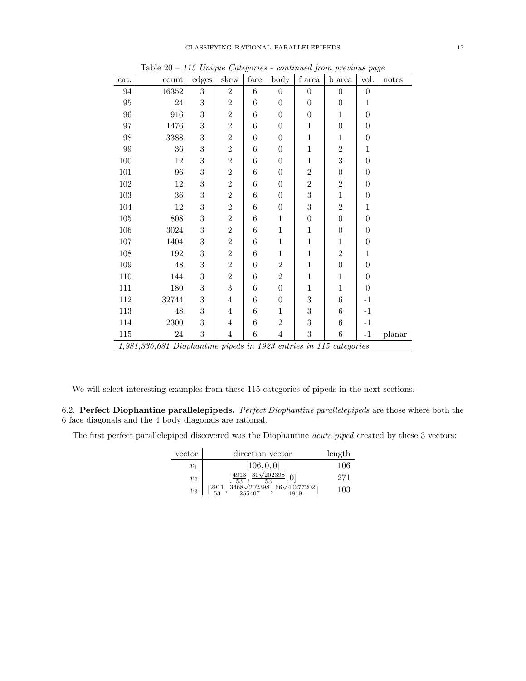| cat.     | count                                                                                                                                                                                                                                | edges            | skew           | face             | body             | $\boldsymbol{f}$ area | <b>b</b> area    | ÷<br>vol.        | notes  |  |  |  |  |  |  |
|----------|--------------------------------------------------------------------------------------------------------------------------------------------------------------------------------------------------------------------------------------|------------------|----------------|------------------|------------------|-----------------------|------------------|------------------|--------|--|--|--|--|--|--|
| 94       | 16352                                                                                                                                                                                                                                | $\sqrt{3}$       | $\overline{2}$ | $6\phantom{.}6$  | $\boldsymbol{0}$ | $\boldsymbol{0}$      | $\boldsymbol{0}$ | $\boldsymbol{0}$ |        |  |  |  |  |  |  |
| 95       | 24                                                                                                                                                                                                                                   | $\boldsymbol{3}$ | $\overline{2}$ | 6                | $\boldsymbol{0}$ | $\boldsymbol{0}$      | $\overline{0}$   | 1                |        |  |  |  |  |  |  |
| 96       | 916                                                                                                                                                                                                                                  | $\boldsymbol{3}$ | $\overline{2}$ | 6                | $\boldsymbol{0}$ | $\boldsymbol{0}$      | $\mathbf{1}$     | $\theta$         |        |  |  |  |  |  |  |
| $\rm 97$ | 1476                                                                                                                                                                                                                                 | 3                | $\overline{2}$ | 6                | $\boldsymbol{0}$ | $\mathbf{1}$          | $\boldsymbol{0}$ | $\theta$         |        |  |  |  |  |  |  |
| $98\,$   | 3388                                                                                                                                                                                                                                 | 3                | $\overline{2}$ | 6                | $\boldsymbol{0}$ | $\mathbf{1}$          | $\mathbf{1}$     | $\boldsymbol{0}$ |        |  |  |  |  |  |  |
| $99\,$   | $36\,$                                                                                                                                                                                                                               | $\boldsymbol{3}$ | $\overline{2}$ | 6                | $\boldsymbol{0}$ | $\,1$                 | $\overline{2}$   | $\mathbf{1}$     |        |  |  |  |  |  |  |
| $100\,$  | 12                                                                                                                                                                                                                                   | 3                | $\overline{2}$ | 6                | $\boldsymbol{0}$ | $\mathbf{1}$          | $\sqrt{3}$       | $\theta$         |        |  |  |  |  |  |  |
| $101\,$  | 96                                                                                                                                                                                                                                   | $\boldsymbol{3}$ | $\overline{2}$ | 6                | $\boldsymbol{0}$ | $\overline{2}$        | $\boldsymbol{0}$ | $\theta$         |        |  |  |  |  |  |  |
| $102\,$  | $\boldsymbol{3}$<br>12<br>$\mathbf{2}$<br>$\overline{2}$<br>$\overline{2}$<br>6<br>$\boldsymbol{0}$<br>$\theta$<br>3<br>$\overline{3}$<br>$\overline{2}$<br>103<br>$36\,$<br>6<br>$\boldsymbol{0}$<br>$\mathbf{1}$<br>$\overline{0}$ |                  |                |                  |                  |                       |                  |                  |        |  |  |  |  |  |  |
|          |                                                                                                                                                                                                                                      |                  |                |                  |                  |                       |                  |                  |        |  |  |  |  |  |  |
| 104      | 12                                                                                                                                                                                                                                   | $\overline{3}$   | $\mathbf{2}$   | 6                | $\boldsymbol{0}$ | 3                     | $\overline{2}$   | $\mathbf 1$      |        |  |  |  |  |  |  |
| $105\,$  | 808                                                                                                                                                                                                                                  | 3                | $\overline{2}$ | 6                | $\mathbf{1}$     | $\theta$              | $\overline{0}$   | $\theta$         |        |  |  |  |  |  |  |
| 106      | 3024                                                                                                                                                                                                                                 | 3                | $\overline{2}$ | 6                | $\mathbf{1}$     | $\mathbf{1}$          | $\overline{0}$   | $\theta$         |        |  |  |  |  |  |  |
| $107\,$  | 1404                                                                                                                                                                                                                                 | 3                | $\overline{2}$ | 6                | $\mathbf{1}$     | $\mathbf{1}$          | $\mathbf{1}$     | $\theta$         |        |  |  |  |  |  |  |
| 108      | 192                                                                                                                                                                                                                                  | 3                | $\overline{2}$ | 6                | $\mathbf{1}$     | $\mathbf{1}$          | $\overline{2}$   | $\mathbf 1$      |        |  |  |  |  |  |  |
| 109      | $48\,$                                                                                                                                                                                                                               | 3                | $\overline{2}$ | $\boldsymbol{6}$ | $\overline{2}$   | $\mathbf{1}$          | $\overline{0}$   | $\theta$         |        |  |  |  |  |  |  |
| 110      | 144                                                                                                                                                                                                                                  | $\boldsymbol{3}$ | $\overline{2}$ | 6                | $\sqrt{2}$       | $\,1$                 | $\mathbf{1}$     | $\theta$         |        |  |  |  |  |  |  |
| 111      | 180                                                                                                                                                                                                                                  | $\boldsymbol{3}$ | $\overline{3}$ | $\boldsymbol{6}$ | $\boldsymbol{0}$ | $\mathbf 1$           | $\mathbf{1}$     | $\boldsymbol{0}$ |        |  |  |  |  |  |  |
| 112      | 32744                                                                                                                                                                                                                                | $\boldsymbol{3}$ | $\overline{4}$ | 6                | $\boldsymbol{0}$ | 3                     | $\,6$            | $-1$             |        |  |  |  |  |  |  |
| 113      | 48                                                                                                                                                                                                                                   | $\sqrt{3}$       | 4              | 6                | 1                | 3                     | 6                | $-1$             |        |  |  |  |  |  |  |
| 114      | 2300                                                                                                                                                                                                                                 | $\sqrt{3}$       | $\overline{4}$ | $\boldsymbol{6}$ | $\sqrt{2}$       | 3                     | $\,6$            | $^{\rm -1}$      |        |  |  |  |  |  |  |
| 115      | $24\,$                                                                                                                                                                                                                               | 3                | $\overline{4}$ | $\overline{6}$   | $\overline{4}$   | 3                     | $\,6$            | $-1$             | planar |  |  |  |  |  |  |
|          | 1,981,336,681 Diophantine pipeds in 1923 entries in 115 categories                                                                                                                                                                   |                  |                |                  |                  |                       |                  |                  |        |  |  |  |  |  |  |

Table  $20 - 115$  Unique Categories - continued from previous page

We will select interesting examples from these 115 categories of pipeds in the next sections.

6.2. Perfect Diophantine parallelepipeds. Perfect Diophantine parallelepipeds are those where both the 6 face diagonals and the 4 body diagonals are rational.

The first perfect parallelepiped discovered was the Diophantine acute piped created by these 3 vectors:

| vector | direction vector                                               | length |
|--------|----------------------------------------------------------------|--------|
| $v_1$  | [106, 0, 0]                                                    | 106    |
| $v_2$  | $\sqrt{4913}$ 30 $\sqrt{202398}$<br>$-53$                      | 271    |
| $v_3$  | $3468\sqrt{202398}$<br>40277202<br>255407<br><b>EQ</b><br>4819 | 103    |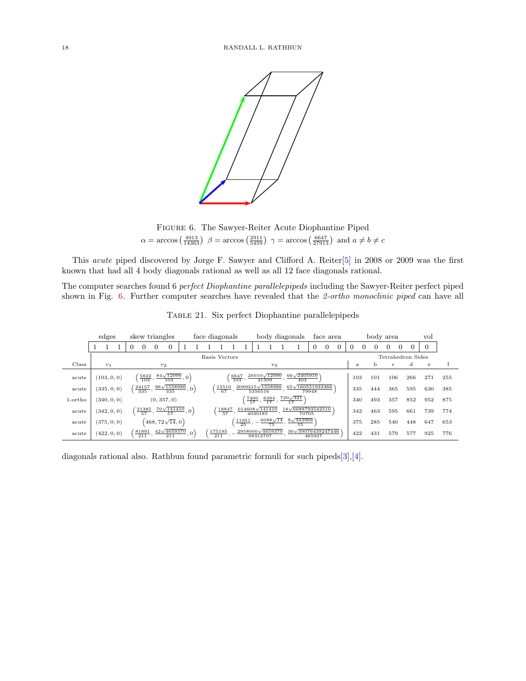<span id="page-17-0"></span>

Figure 6. The Sawyer-Reiter Acute Diophantine Piped  $\alpha = \arccos\left(\frac{4913}{14363}\right)$   $\beta = \arccos\left(\frac{2911}{5459}\right)$   $\gamma = \arccos\left(\frac{6647}{27913}\right)$  and  $a \neq b \neq c$ 

This acute piped discovered by Jorge F. Sawyer and Clifford A. Reiter[\[5\]](#page-27-2) in 2008 or 2009 was the first known that had all 4 body diagonals rational as well as all 12 face diagonals rational.

The computer searches found 6 perfect Diophantine parallelepipeds including the Sawyer-Reiter perfect piped shown in Fig. [6.](#page-17-0) Further computer searches have revealed that the 2-ortho monoclinic piped can have all

|            | edges       |   |                       | skew triangles |                                                                |                  | face diagonals            |                          |                    |                                     |                           | body diagonals                         |        | face area |          |     |   |          | body area    |   |                   | vol |     |
|------------|-------------|---|-----------------------|----------------|----------------------------------------------------------------|------------------|---------------------------|--------------------------|--------------------|-------------------------------------|---------------------------|----------------------------------------|--------|-----------|----------|-----|---|----------|--------------|---|-------------------|-----|-----|
|            |             | 0 | 0                     | $\Omega$       | $\overline{0}$                                                 |                  |                           |                          |                    |                                     |                           |                                        |        | 0         | $\theta$ |     | 0 | $^{(1)}$ | 0            | 0 |                   |     |     |
|            |             |   |                       |                |                                                                |                  | Basis Vectors             |                          |                    |                                     |                           |                                        |        |           |          |     |   |          |              |   | Tetrahedron Sides |     |     |
| Class      | $v_1$       |   |                       |                | v <sub>2</sub>                                                 |                  |                           |                          |                    |                                     | $v_3$                     |                                        |        |           |          | a   |   | b        | $\mathbf{C}$ |   | d                 | e   |     |
| acute      | (103, 0, 0) |   | $\frac{5822}{103}$ ,  |                | $\frac{84\sqrt{12090}}{103}$ , 0)                              |                  |                           | 6647<br>$\overline{103}$ |                    | $26010\sqrt{12090}$                 | 41509                     | $66\sqrt{2405910}$<br>403              |        |           |          | 103 |   | 101      | 106          |   | 266               | 271 | 255 |
| acute      | (335, 0, 0) |   | $\frac{24157}{335}$ , |                | $96\sqrt{1558986}$<br>335                                      |                  | $\frac{15510}{67}$        |                          |                    | $2089315\sqrt{1558986}$<br>5356516  |                           | 65 $\sqrt{160551933366}$               | 79948  |           |          | 335 |   | 444      | 365          |   | 595               | 630 | 385 |
| $1$ -ortho | (340, 0, 0) |   |                       |                | (0, 357, 0)                                                    |                  |                           |                          |                    | 7400<br>$\frac{1}{17}$ ,            | 6384<br>$\overline{17}$ , | $720\sqrt{321}$<br>17                  |        |           |          | 340 |   | 493      | 357          |   | 852               | 952 | 875 |
| acute      | (342, 0, 0) |   |                       |                | $\left(\frac{21385}{57}, \frac{70\sqrt{141410}}{57}, 0\right)$ |                  | 18847<br>$\overline{57}$  |                          |                    | $614608\sqrt{141410}$<br>4030185    |                           | $18\sqrt{6688793542510}$<br>70705      |        |           |          | 342 |   | 463      | 595          |   | 661               | 739 | 774 |
| acute      | (375, 0, 0) |   |                       |                | $(468, 72\sqrt{14}, 0)$                                        |                  |                           |                          | $\frac{11951}{25}$ |                                     | 75                        | $6088\sqrt{14}$ $8\sqrt{343966}$<br>15 |        |           |          | 375 |   | 285      | 540          |   | 448               | 647 | 653 |
| acute      | (422, 0, 0) |   |                       |                | $\frac{81891}{211}, \frac{42\sqrt{4659370}}{211},$             | , 0 <sup>3</sup> | 175195<br>$\frac{1}{211}$ |                          |                    | $2958000\sqrt{4659370}$<br>98312707 |                           | $30\sqrt{39076439247446}$              | 465937 |           |          | 422 |   | 431      | 579          |   | 577               | 925 | 776 |

Table 21. Six perfect Diophantine parallelepipeds

diagonals rational also. Rathbun found parametric formuli for such pipeds[\[3\]](#page-27-3),[\[4\]](#page-27-4).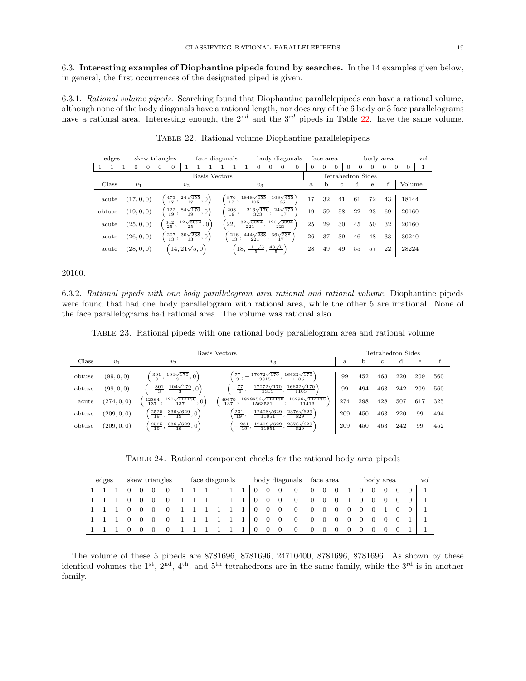6.3. Interesting examples of Diophantine pipeds found by searches. In the 14 examples given below, in general, the first occurrences of the designated piped is given.

<span id="page-18-0"></span>6.3.1. Rational volume pipeds. Searching found that Diophantine parallelepipeds can have a rational volume, although none of the body diagonals have a rational length, nor does any of the 6 body or 3 face parallelograms have a rational area. Interesting enough, the  $2^{nd}$  and the  $3^{rd}$  pipeds in Table [22.](#page-18-0) have the same volume,

| edges  |            |          | skew triangles |                                                            |       |                       | face diagonals |                      |                                                                |                               |          |                                                                         | body diagonals |          | face area |          |              |          | body area         |          |          |          | vol |
|--------|------------|----------|----------------|------------------------------------------------------------|-------|-----------------------|----------------|----------------------|----------------------------------------------------------------|-------------------------------|----------|-------------------------------------------------------------------------|----------------|----------|-----------|----------|--------------|----------|-------------------|----------|----------|----------|-----|
|        | $\Omega$   | $\Omega$ | $\Omega$       | $\Omega$                                                   |       |                       |                |                      |                                                                | 0                             | $\Omega$ | $\Omega$                                                                | $\Omega$       | $\Omega$ | $\Omega$  | $\Omega$ | 0            | $\Omega$ | $\Omega$          | $\Omega$ | $\Omega$ | $\Omega$ |     |
|        |            |          |                |                                                            |       |                       | Basis Vectors  |                      |                                                                |                               |          |                                                                         |                |          |           |          |              |          | Tetrahedron Sides |          |          |          |     |
| Class  | $v_1$      |          |                |                                                            | $v_2$ |                       |                |                      |                                                                | $v_3$                         |          |                                                                         |                | a        | b.        |          | $\mathbf{c}$ | d        | $\mathbf{e}$      |          |          | Volume   |     |
| acute  | (17, 0, 0) |          |                | $\left(\frac{473}{17}, \frac{24\sqrt{455}}{17}, 0\right)$  |       |                       |                | $\frac{876}{17}$ ,   | $\frac{1848\sqrt{455}}{1105}$ ,                                |                               |          | $\frac{108\sqrt{455}}{65}$                                              |                | 17       | 32        | 41       |              | 61       | 72                | 43       |          | 18144    |     |
| obtuse | (19, 0, 0) |          |                | $\left(\frac{122}{19}, \frac{84\sqrt{170}}{19}, 0\right)$  |       |                       |                | $\frac{203}{19}$ , - |                                                                | $\frac{216\sqrt{170}}{323}$ , |          | $\frac{24\sqrt{170}}{17}$                                               |                | 19       | 59        |          | 58           | 22       | 23                | 69       |          | 20160    |     |
| acute  | (25, 0, 0) |          |                | $\left[\frac{342}{25}, \frac{12\sqrt{3094}}{25}, 0\right]$ |       |                       |                |                      |                                                                |                               |          | $\left(22,\frac{132\sqrt{3094}}{221},\frac{120\sqrt{3094}}{221}\right)$ |                | 25       | 29        |          | 30           | 45       | 50                | 32       |          | 20160    |     |
| acute  | (26, 0, 0) |          |                | $\left(\frac{207}{13}, \frac{30\sqrt{238}}{13}, 0\right)$  |       |                       |                |                      | $\frac{216}{13}, \frac{444\sqrt{238}}{221}$ ,                  |                               |          | $\frac{36\sqrt{238}}{17}$                                               |                | 26       | 37        |          | 39           | 46       | 48                | 33       |          | 30240    |     |
| acute  | (28, 0, 0) |          |                |                                                            |       | $(14, 21\sqrt{5}, 0)$ |                |                      | $\left(18, \frac{111\sqrt{5}}{5}, \frac{48\sqrt{5}}{5}\right)$ |                               |          |                                                                         |                | 28       | 49        |          | 49           | 55       | 57                | 22       |          | 28224    |     |

Table 22. Rational volume Diophantine parallelepipeds

## 20160.

6.3.2. Rational pipeds with one body parallelogram area rational and rational volume. Diophantine pipeds were found that had one body parallelogram with rational area, while the other 5 are irrational. None of the face parallelograms had rational area. The volume was rational also.

Table 23. Rational pipeds with one rational body parallelogram area and rational volume

|        |             |                                                          | Basis Vectors                                                                       |     |     | Tetrahedron Sides |     |     |     |
|--------|-------------|----------------------------------------------------------|-------------------------------------------------------------------------------------|-----|-----|-------------------|-----|-----|-----|
| Class  | $v_1$       | $v_2$                                                    | $v_3$                                                                               | a   | b   | с                 | d   | е   |     |
| obtuse | (99, 0, 0)  | $\left(\frac{301}{3}, \frac{104\sqrt{170}}{3}, 0\right)$ | $16632\sqrt{170}$<br>$17072\sqrt{170}$<br>$\frac{77}{3}$ ,<br>3315<br>1105          | 99  | 452 | 463               | 220 | 209 | 560 |
| obtuse | (99, 0, 0)  | $\pm \frac{104\sqrt{170}}{2}$ , 0)<br>$\frac{301}{3}$ ,  | $16632\sqrt{170}$<br>$17072\sqrt{170}$<br>$\frac{77}{3}$ ,<br>1105<br>3315          | 99  | 494 | 463               | 242 | 209 | 560 |
| acute  | (274, 0, 0) | $120\sqrt{114130}$<br>42364<br>137<br>137                | $10296\sqrt{114130}$<br>1829856 $\sqrt{114130}$<br>49679<br>137<br>11413<br>1563581 | 274 | 298 | 428               | 507 | 617 | 325 |
| obtuse | (209, 0, 0) | $\frac{336\sqrt{629}}{19}$ ,<br>2525<br>19               | $2376\sqrt{629}$<br>$12408\sqrt{629}$<br>$\frac{231}{19}$<br>629<br>11951           | 209 | 450 | 463               | 220 | 99  | 494 |
| obtuse | (209, 0, 0) | $\frac{336\sqrt{629}}{0},0$<br>2525<br>19<br>19          | $2376\sqrt{629}$<br>$12408\sqrt{629}$<br>231<br>$\overline{19}$<br>11951<br>629     | 209 | 450 | 463               | 242 | 99  | 452 |

Table 24. Rational component checks for the rational body area pipeds

| edges |  |   | skew triangles |  | face diagonals |  |  |   |                | body diagonals |   | face area |  | body area |   |  | vol |
|-------|--|---|----------------|--|----------------|--|--|---|----------------|----------------|---|-----------|--|-----------|---|--|-----|
|       |  |   |                |  |                |  |  | 0 | $\overline{0}$ | $\overline{0}$ |   | 0         |  |           | 0 |  |     |
|       |  | 0 |                |  |                |  |  | 0 | $\overline{0}$ | $\overline{0}$ |   | 0         |  |           |   |  |     |
|       |  | 0 |                |  |                |  |  | 0 | $\overline{0}$ | $\overline{0}$ | 0 | 0         |  |           |   |  |     |
|       |  | 0 |                |  |                |  |  | 0 | $\overline{0}$ | $\overline{0}$ |   | 0         |  |           |   |  |     |
|       |  |   |                |  |                |  |  | 0 | $\theta$       | $\theta$       | U | 0         |  |           |   |  |     |

The volume of these 5 pipeds are 8781696, 8781696, 24710400, 8781696, 8781696. As shown by these identical volumes the  $1^{st}$ ,  $2^{nd}$ ,  $4^{th}$ , and  $5^{th}$  tetrahedrons are in the same family, while the  $3^{rd}$  is in another family.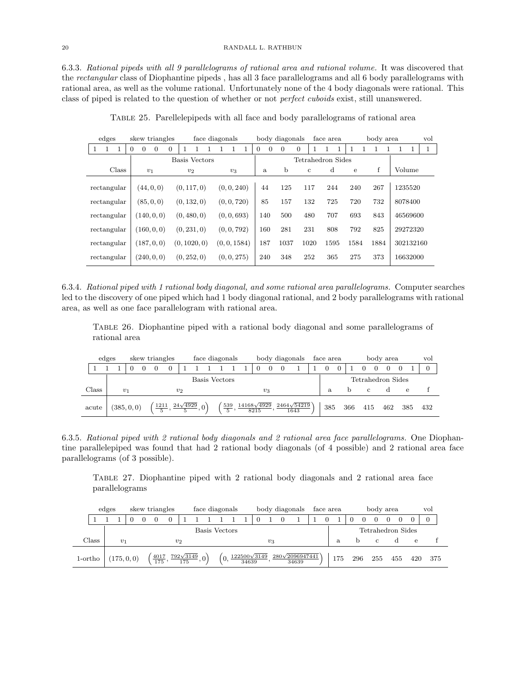6.3.3. Rational pipeds with all 9 parallelograms of rational area and rational volume. It was discovered that the rectangular class of Diophantine pipeds , has all 3 face parallelograms and all 6 body parallelograms with rational area, as well as the volume rational. Unfortunately none of the 4 body diagonals were rational. This class of piped is related to the question of whether or not perfect cuboids exist, still unanswered.

| edges              | skew triangles                  |                | face diagonals |                      | body diagonals |              | face area         |      | body area |           | vol |
|--------------------|---------------------------------|----------------|----------------|----------------------|----------------|--------------|-------------------|------|-----------|-----------|-----|
| $\mathbf{1}$<br>-1 | $\Omega$<br>$\overline{0}$<br>0 | $\overline{0}$ |                | $\Omega$<br>$\Omega$ | $\Omega$       | $\Omega$     |                   |      |           |           | 1   |
|                    |                                 | Basis Vectors  |                |                      |                |              | Tetrahedron Sides |      |           |           |     |
| Class              | $v_1$                           | $v_2$          | $v_3$          | a                    | b              | $\mathbf{c}$ | d                 | e    | f         | Volume    |     |
|                    |                                 |                |                |                      |                |              |                   |      |           |           |     |
| rectangular        | (44, 0, 0)                      | (0, 117, 0)    | (0, 0, 240)    | 44                   | 125            | 117          | 244               | 240  | 267       | 1235520   |     |
| rectangular        | (85, 0, 0)                      | (0, 132, 0)    | (0, 0, 720)    | 85                   | 157            | 132          | 725               | 720  | 732       | 8078400   |     |
| rectangular        | (140, 0, 0)                     | (0, 480, 0)    | (0, 0, 693)    | 140                  | 500            | 480          | 707               | 693  | 843       | 46569600  |     |
| rectangular        | (160, 0, 0)                     | (0, 231, 0)    | (0, 0, 792)    | 160                  | 281            | 231          | 808               | 792  | 825       | 29272320  |     |
| rectangular        | (187, 0, 0)                     | (0, 1020, 0)   | (0, 0, 1584)   | 187                  | 1037           | 1020         | 1595              | 1584 | 1884      | 302132160 |     |
| rectangular        | (240, 0, 0)                     | (0, 252, 0)    | (0, 0, 275)    | 240                  | 348            | 252          | 365               | 275  | 373       | 16632000  |     |

Table 25. Parellelepipeds with all face and body parallelograms of rational area

6.3.4. Rational piped with 1 rational body diagonal, and some rational area parallelograms. Computer searches led to the discovery of one piped which had 1 body diagonal rational, and 2 body parallelograms with rational area, as well as one face parallelogram with rational area.

Table 26. Diophantine piped with a rational body diagonal and some parallelograms of rational area

|       | edges |       |                        |  | skew triangles |                                           |  |  |                   |  | face diagonals    |  |                            |          |                | body diagonals             | face area |                |     |                   | body area |     | vol            |
|-------|-------|-------|------------------------|--|----------------|-------------------------------------------|--|--|-------------------|--|-------------------|--|----------------------------|----------|----------------|----------------------------|-----------|----------------|-----|-------------------|-----------|-----|----------------|
|       |       |       |                        |  | $\Omega$       | $\theta$                                  |  |  |                   |  |                   |  | 0                          | $\Omega$ | $\overline{0}$ |                            | $\Omega$  | $\overline{0}$ |     |                   |           |     | $\overline{0}$ |
|       |       |       | Basis Vectors<br>$v_2$ |  |                |                                           |  |  |                   |  |                   |  |                            |          |                |                            |           |                |     | Tetrahedron Sides |           |     |                |
| Class |       | $v_1$ |                        |  |                |                                           |  |  |                   |  |                   |  |                            | $v_3$    |                |                            | a.        |                | h.  | $\mathbf{c}$      | U         | е   |                |
| acute |       |       | (385, 0, 0)            |  |                | $\frac{1211}{5}, \frac{24\sqrt{4929}}{5}$ |  |  | $\left( 0\right)$ |  | $\frac{539}{5}$ , |  | $14168\sqrt{4929}$<br>8215 |          |                | $2464\sqrt{54219}$<br>1643 | 385       |                | 366 | 415               | 462       | 385 | 432            |

6.3.5. Rational piped with 2 rational body diagonals and 2 rational area face parallelograms. One Diophantine parallelepiped was found that had 2 rational body diagonals (of 4 possible) and 2 rational area face parallelograms (of 3 possible).

Table 27. Diophantine piped with 2 rational body diagonals and 2 rational area face parallelograms

|                  | edges |                                                                                      |                        |  | skew triangles |          |  |  |  |  | face diagonals |  |          |       |  | body diagonals                                                               | face area |     |     | body area         |     |            | vol      |  |
|------------------|-------|--------------------------------------------------------------------------------------|------------------------|--|----------------|----------|--|--|--|--|----------------|--|----------|-------|--|------------------------------------------------------------------------------|-----------|-----|-----|-------------------|-----|------------|----------|--|
|                  |       |                                                                                      |                        |  |                | $\Omega$ |  |  |  |  |                |  | $\Omega$ |       |  |                                                                              |           |     |     |                   |     |            | $\Omega$ |  |
|                  |       |                                                                                      | Basis Vectors<br>$v_2$ |  |                |          |  |  |  |  |                |  |          |       |  |                                                                              |           |     |     | Tetrahedron Sides |     |            |          |  |
| $\rm Class$      |       | $v_1$                                                                                |                        |  |                |          |  |  |  |  |                |  |          | $v_3$ |  |                                                                              |           | a.  |     | C.                |     | $\epsilon$ |          |  |
| $1\text{-ortho}$ |       | $\left(\frac{4017}{175}, \frac{792\sqrt{3149}}{175}, 0\right)$<br>(0,<br>(175, 0, 0) |                        |  |                |          |  |  |  |  |                |  |          |       |  | $\frac{122500\sqrt{3149}}{34639}, \frac{280\sqrt{2096947441}}{34639}\right)$ |           | 175 | 296 | 255               | 455 | 420        | 375      |  |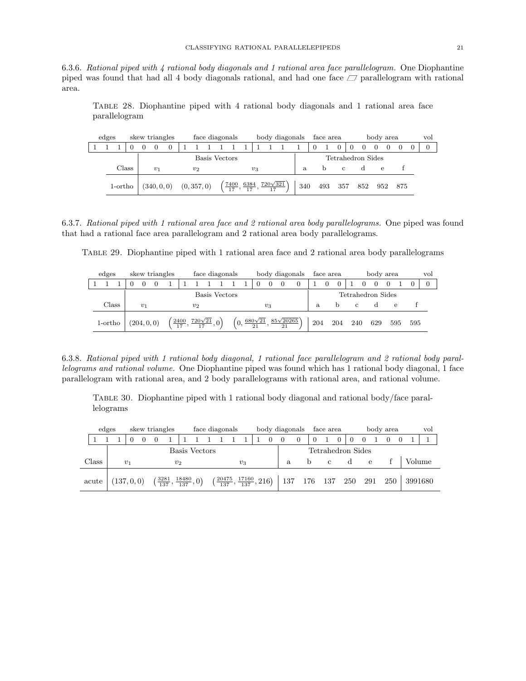6.3.6. Rational piped with 4 rational body diagonals and 1 rational area face parallelogram. One Diophantine piped was found that had all 4 body diagonals rational, and had one face  $\Box$  parallelogram with rational area.

Table 28. Diophantine piped with 4 rational body diagonals and 1 rational area face parallelogram

| edges |         |  | skew triangles   |          |             | face diagonals |                                                 |       |                 | body diagonals | face area |               |                   | body area |     | vol |
|-------|---------|--|------------------|----------|-------------|----------------|-------------------------------------------------|-------|-----------------|----------------|-----------|---------------|-------------------|-----------|-----|-----|
|       |         |  | $\left( \right)$ | $\Omega$ |             |                |                                                 |       |                 |                |           | $\Omega$      | $\theta$          |           |     |     |
|       |         |  |                  |          |             | Basis Vectors  |                                                 |       |                 |                |           |               | Tetrahedron Sides |           |     |     |
|       | Class   |  | $v_1$            |          | $v_2$       |                |                                                 | $v_3$ |                 | a              | n         | $\mathcal{C}$ |                   | e         |     |     |
|       | 1-ortho |  | (340, 0, 0)      |          | (0, 357, 0) |                | $\left(\frac{7400}{17},\frac{6384}{17},\right)$ |       | $720\sqrt{321}$ | 340            | 493       | 357           | 852               | 952       | 875 |     |

6.3.7. Rational piped with 1 rational area face and 2 rational area body parallelograms. One piped was found that had a rational face area parallelogram and 2 rational area body parallelograms.

Table 29. Diophantine piped with 1 rational area face and 2 rational area body parallelograms

| edges   |  |             | skew triangles   |  |                                             | face diagonals |  |       |                                                                      | body diagonals |     | face area |     |              |   | body area         |     |     | vol |
|---------|--|-------------|------------------|--|---------------------------------------------|----------------|--|-------|----------------------------------------------------------------------|----------------|-----|-----------|-----|--------------|---|-------------------|-----|-----|-----|
|         |  | 0           | $\left( \right)$ |  |                                             |                |  | 0     | $\overline{0}$                                                       | $\theta$       |     | 0         |     |              | 0 |                   |     |     |     |
|         |  |             |                  |  |                                             | Basis Vectors  |  |       |                                                                      |                |     |           |     |              |   | Tetrahedron Sides |     |     |     |
| Class   |  | $v_1$       |                  |  | $v_2$                                       |                |  | $v_3$ |                                                                      |                | a.  |           | b   | $\mathbf{C}$ |   |                   | е   |     |     |
| 1-ortho |  | (204, 0, 0) |                  |  | $\frac{2400}{17}, \frac{720\sqrt{21}}{17},$ |                |  |       | $\left(0, \frac{680\sqrt{21}}{21}, \frac{85\sqrt{20265}}{21}\right)$ |                | 204 |           | 204 | 240          |   | 629               | 595 | 595 |     |

6.3.8. Rational piped with 1 rational body diagonal, 1 rational face parallelogram and 2 rational body parallelograms and rational volume. One Diophantine piped was found which has 1 rational body diagonal, 1 face parallelogram with rational area, and 2 body parallelograms with rational area, and rational volume.

Table 30. Diophantine piped with 1 rational body diagonal and rational body/face parallelograms

|       | edges |             | skew triangles |                                                       |               | face diagonals |  |       |                                                        | body diagonals      |   | face area         |   |              |   | body area |  | vol     |
|-------|-------|-------------|----------------|-------------------------------------------------------|---------------|----------------|--|-------|--------------------------------------------------------|---------------------|---|-------------------|---|--------------|---|-----------|--|---------|
|       |       |             |                |                                                       |               |                |  |       |                                                        | $\theta$            | 0 |                   | 0 |              |   |           |  |         |
|       |       |             |                |                                                       | Basis Vectors |                |  |       |                                                        |                     |   | Tetrahedron Sides |   |              |   |           |  |         |
| Class |       | $v_1$       |                | $v_2$                                                 |               |                |  | $v_3$ |                                                        | a.                  |   | $\mathcal{C}$     |   | <sub>d</sub> | е |           |  | Volume  |
| acute |       | (137, 0, 0) |                | $\left(\frac{3281}{137}, \frac{18480}{137}, 0\right)$ |               |                |  |       | $\left(\frac{20475}{137},\frac{17160}{137},216\right)$ | 137 176 137 250 291 |   |                   |   |              |   | 250       |  | 3991680 |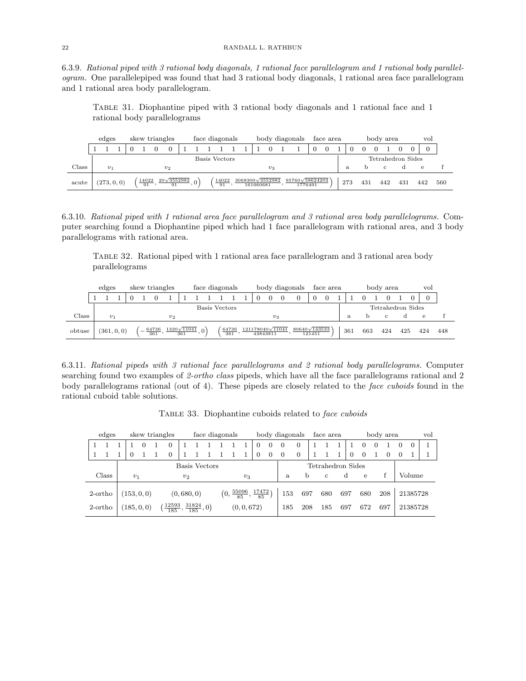6.3.9. Rational piped with 3 rational body diagonals, 1 rational face parallelogram and 1 rational body parallelogram. One parallelepiped was found that had 3 rational body diagonals, 1 rational area face parallelogram and 1 rational area body parallelogram.

Table 31. Diophantine piped with 3 rational body diagonals and 1 rational face and 1 rational body parallelograms

|       | edges          |  |                          | skew triangles           |  |               | face diagonals |                                      |          | body diagonals                    |          | face area |     |     | body area |     | vol               |     |     |
|-------|----------------|--|--------------------------|--------------------------|--|---------------|----------------|--------------------------------------|----------|-----------------------------------|----------|-----------|-----|-----|-----------|-----|-------------------|-----|-----|
|       |                |  |                          |                          |  |               |                |                                      | $\Omega$ |                                   | $\theta$ |           |     |     |           |     |                   |     |     |
|       |                |  |                          |                          |  | Basis Vectors |                |                                      |          |                                   |          |           |     |     |           |     | Tetrahedron Sides |     |     |
| Class | v <sub>1</sub> |  |                          | v <sub>2</sub>           |  |               |                |                                      | $v_3$    |                                   |          |           | a   |     |           | C.  |                   |     |     |
| acute | (273, 0, 0)    |  | 14022<br>$\overline{91}$ | $20\sqrt{3552982}$<br>91 |  | 14022<br>91   |                | $3068300\sqrt{3552982}$<br>161660681 |          | $95760\sqrt{58624203}$<br>1776491 |          |           | 273 | 431 |           | 442 | 431               | 442 | 560 |

6.3.10. Rational piped with 1 rational area face parallelogram and 3 rational area body parallelograms. Computer searching found a Diophantine piped which had 1 face parallelogram with rational area, and 3 body parallelograms with rational area.

Table 32. Rational piped with 1 rational area face parallelogram and 3 rational area body parallelograms

|        | edges          |  |              | skew triangles     |     |  |               | face diagonals |                                     |       | body diagonals       |        | face area |     |     | body area |                   | vol |     |
|--------|----------------|--|--------------|--------------------|-----|--|---------------|----------------|-------------------------------------|-------|----------------------|--------|-----------|-----|-----|-----------|-------------------|-----|-----|
|        |                |  |              |                    |     |  |               |                |                                     |       |                      |        |           |     |     |           |                   |     |     |
|        |                |  |              |                    |     |  | Basis Vectors |                |                                     |       |                      |        |           |     |     |           | Tetrahedron Sides |     |     |
| Class  | v <sub>1</sub> |  |              | v <sub>2</sub>     |     |  |               |                |                                     | $v_3$ |                      |        |           | a.  |     | C.        |                   | e   |     |
| obtuse | (361, 0, 0)    |  | 64736<br>361 | $1320\sqrt{11041}$ | 361 |  |               | 64736<br>361   | $121178040\sqrt{11041}$<br>43843811 |       | $80640\sqrt{143533}$ | 121451 |           | 361 | 663 | 424       | 425               | 424 | 448 |

6.3.11. Rational pipeds with 3 rational face parallelograms and 2 rational body parallelograms. Computer searching found two examples of 2-ortho class pipeds, which have all the face parallelograms rational and 2 body parallelograms rational (out of 4). These pipeds are closely related to the face cuboids found in the rational cuboid table solutions.

|  | edges            |             |  | skew triangles                             |           | face diagonals |  |  |  |             |                                                      |          | body diagonals |                | face area         |              |          |          | body area |          |          | vol |
|--|------------------|-------------|--|--------------------------------------------|-----------|----------------|--|--|--|-------------|------------------------------------------------------|----------|----------------|----------------|-------------------|--------------|----------|----------|-----------|----------|----------|-----|
|  |                  |             |  | $\Omega$                                   |           |                |  |  |  |             | $\Omega$                                             | $\Omega$ | $\overline{0}$ | $\overline{0}$ |                   |              | $\Omega$ | $\Omega$ |           | $\Omega$ | $\Omega$ |     |
|  |                  | $\Omega$    |  | $\theta$                                   |           |                |  |  |  |             | $\Omega$                                             | $\theta$ | $\theta$       | $\overline{0}$ |                   | $\Omega$     | 0        |          |           |          |          |     |
|  |                  |             |  |                                            |           | Basis Vectors  |  |  |  |             |                                                      |          |                |                | Tetrahedron Sides |              |          |          |           |          |          |     |
|  | Class            | $v_1$       |  |                                            | $v_2$     |                |  |  |  | $v_3$       |                                                      |          | a.             | b              | $\mathbf{c}$      | <sub>d</sub> | e        |          |           |          | Volume   |     |
|  | 2-ortho          | (153, 0, 0) |  |                                            | (0,680,0) |                |  |  |  |             | $\left(0, \frac{55096}{85}, \frac{17472}{85}\right)$ |          | 153            | 697            | 680               | 697          | 680      |          | 208       |          | 21385728 |     |
|  | $2\text{-ortho}$ | (185, 0, 0) |  | $\frac{12593}{185}, \frac{31824}{185}, 0)$ |           |                |  |  |  | (0, 0, 672) |                                                      |          | 185            | 208            | 185               | 697          | 672      |          | 697       |          | 21385728 |     |

TABLE 33. Diophantine cuboids related to face cuboids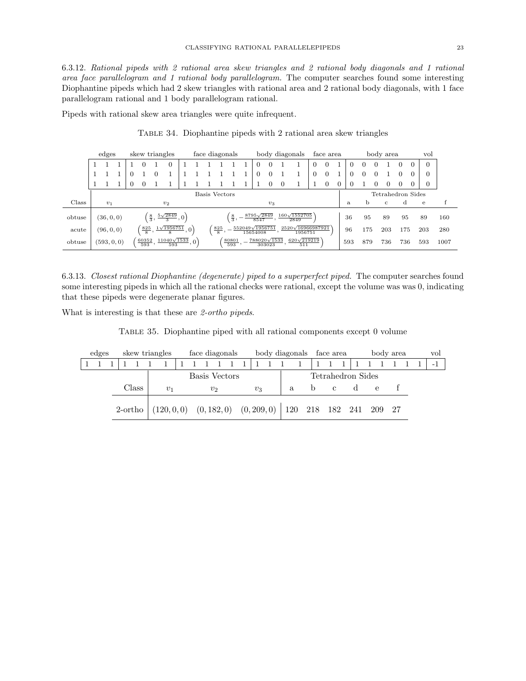6.3.12. Rational pipeds with 2 rational area skew triangles and 2 rational body diagonals and 1 rational area face parallelogram and 1 rational body parallelogram. The computer searches found some interesting Diophantine pipeds which had 2 skew triangles with rational area and 2 rational body diagonals, with 1 face parallelogram rational and 1 body parallelogram rational.

Pipeds with rational skew area triangles were quite infrequent.

|        | edges       |          |                      | skew triangles  |                           |                                           |     | face diagonals    |               |                        |                           |          | body diagonals                       |          | face area      |          |     |     |          | body area         |     |                | vol      |      |
|--------|-------------|----------|----------------------|-----------------|---------------------------|-------------------------------------------|-----|-------------------|---------------|------------------------|---------------------------|----------|--------------------------------------|----------|----------------|----------|-----|-----|----------|-------------------|-----|----------------|----------|------|
|        |             |          |                      |                 | $\theta$                  |                                           |     |                   |               |                        |                           |          |                                      | $\theta$ | $\theta$       |          |     | 0   | $\theta$ |                   | 0   | $\overline{0}$ | $\Omega$ |      |
|        |             | $\theta$ |                      |                 |                           |                                           |     |                   |               |                        | $\theta$                  | $\theta$ |                                      | 0        | 0              |          |     | 0   | $\theta$ |                   |     |                | 0        |      |
|        |             |          | $^{(1)}$             |                 |                           |                                           |     |                   |               |                        |                           | $\Omega$ |                                      |          | $\overline{0}$ | $\Omega$ |     |     | $\theta$ | 0                 | 0   | 0              | 0        |      |
|        |             |          |                      |                 |                           |                                           |     | Basis Vectors     |               |                        |                           |          |                                      |          |                |          |     |     |          | Tetrahedron Sides |     |                |          |      |
| Class  | $v_1$       |          |                      |                 | $v_2$                     |                                           |     |                   |               |                        |                           | $v_3$    |                                      |          |                |          | a   | b   |          | C                 | α   |                | e        |      |
| obtuse | (36, 0, 0)  |          |                      | $\frac{8}{3}$ , | $\frac{5\sqrt{2849}}{3}$  | $\cdot$ , 0 <sup><math>\cdot</math></sup> |     |                   | $\frac{8}{3}$ |                        | $8795\sqrt{2849}$<br>8547 |          | $160\sqrt{1552705}$<br>2849          |          |                |          | 36  | 95  |          | 89                | 95  |                | 89       | 160  |
| acute  | (96, 0, 0)  |          | $\frac{825}{8}$      |                 | $1\sqrt{1956751}$<br>8    | ,0 <sup>1</sup>                           |     | $\frac{825}{8}$ , |               | $552049\sqrt{1956751}$ | 15654008                  |          | 2520 $\sqrt{16966987921}$<br>1956751 |          |                |          | 96  | 175 |          | 203               | 175 |                | 203      | 280  |
| obtuse | (593, 0, 0) |          | $\frac{60352}{593},$ |                 | $11040\sqrt{1533}$<br>593 |                                           | ,0' |                   | 80801<br>593  |                        | $788020\sqrt{1533}$       | 303023   | $620\sqrt{219219}$<br>511            |          |                |          | 593 | 879 |          | 736               | 736 |                | 593      | 1007 |

Table 34. Diophantine pipeds with 2 rational area skew triangles

6.3.13. Closest rational Diophantine (degenerate) piped to a superperfect piped. The computer searches found some interesting pipeds in which all the rational checks were rational, except the volume was was 0, indicating that these pipeds were degenerate planar figures.

What is interesting is that these are 2-ortho pipeds.

Table 35. Diophantine piped with all rational components except 0 volume

| edges |         |       | skew triangles                      |  | face diagonals |  |       |  | body diagonals face area |              |              |                   |   | body area |  | vol |
|-------|---------|-------|-------------------------------------|--|----------------|--|-------|--|--------------------------|--------------|--------------|-------------------|---|-----------|--|-----|
|       |         |       |                                     |  |                |  |       |  |                          |              |              |                   |   |           |  |     |
|       |         |       |                                     |  | Basis Vectors  |  |       |  |                          |              |              | Tetrahedron Sides |   |           |  |     |
|       |         | Class | $v_1$                               |  | $v_2$          |  | $v_3$ |  | a.                       | <sub>b</sub> | $\mathbf{c}$ |                   | e |           |  |     |
|       | 2-ortho |       | $(120,0,0)$ $(0,182,0)$ $(0,209,0)$ |  |                |  |       |  | 120 218 182 241 209 27   |              |              |                   |   |           |  |     |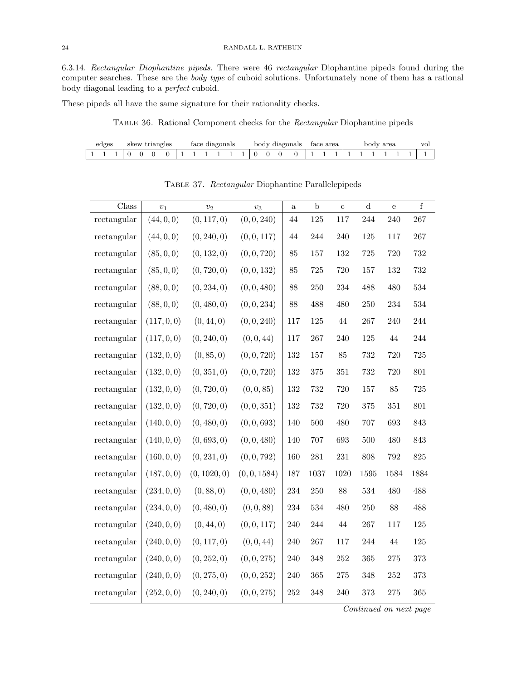6.3.14. Rectangular Diophantine pipeds. There were 46 rectangular Diophantine pipeds found during the computer searches. These are the body type of cuboid solutions. Unfortunately none of them has a rational body diagonal leading to a perfect cuboid.

These pipeds all have the same signature for their rationality checks.

Table 36. Rational Component checks for the Rectangular Diophantine pipeds

|  | edges |  |  | skew triangles |  | face diagonals |  |  | body diagonals | face area |  | bodv | area |  |  |
|--|-------|--|--|----------------|--|----------------|--|--|----------------|-----------|--|------|------|--|--|
|  |       |  |  |                |  |                |  |  |                |           |  |      |      |  |  |

| Class       | $\upsilon_1$ | $v_2$        | $v_3$        | $\mathbf{a}$ | $\mathbf b$ | $\mathbf c$ | $\mathbf d$ | e      | $\mathbf f$ |
|-------------|--------------|--------------|--------------|--------------|-------------|-------------|-------------|--------|-------------|
| rectangular | (44, 0, 0)   | (0, 117, 0)  | (0, 0, 240)  | 44           | 125         | 117         | 244         | 240    | 267         |
| rectangular | (44, 0, 0)   | (0, 240, 0)  | (0, 0, 117)  | 44           | 244         | 240         | 125         | 117    | 267         |
| rectangular | (85, 0, 0)   | (0, 132, 0)  | (0, 0, 720)  | 85           | 157         | 132         | 725         | 720    | 732         |
| rectangular | (85, 0, 0)   | (0, 720, 0)  | (0, 0, 132)  | 85           | $725\,$     | 720         | 157         | 132    | 732         |
| rectangular | (88, 0, 0)   | (0, 234, 0)  | (0, 0, 480)  | 88           | 250         | 234         | 488         | 480    | 534         |
| rectangular | (88, 0, 0)   | (0, 480, 0)  | (0, 0, 234)  | 88           | 488         | 480         | 250         | 234    | 534         |
| rectangular | (117, 0, 0)  | (0, 44, 0)   | (0, 0, 240)  | 117          | 125         | 44          | 267         | 240    | 244         |
| rectangular | (117, 0, 0)  | (0, 240, 0)  | (0, 0, 44)   | 117          | $267\,$     | 240         | 125         | $44\,$ | 244         |
| rectangular | (132, 0, 0)  | (0, 85, 0)   | (0, 0, 720)  | 132          | 157         | 85          | 732         | 720    | 725         |
| rectangular | (132, 0, 0)  | (0, 351, 0)  | (0, 0, 720)  | 132          | $375\,$     | 351         | 732         | 720    | 801         |
| rectangular | (132, 0, 0)  | (0, 720, 0)  | (0, 0, 85)   | 132          | 732         | 720         | 157         | 85     | 725         |
| rectangular | (132, 0, 0)  | (0, 720, 0)  | (0, 0, 351)  | 132          | 732         | 720         | 375         | 351    | 801         |
| rectangular | (140, 0, 0)  | (0, 480, 0)  | (0, 0, 693)  | 140          | 500         | 480         | 707         | 693    | 843         |
| rectangular | (140, 0, 0)  | (0, 693, 0)  | (0, 0, 480)  | 140          | 707         | 693         | 500         | 480    | 843         |
| rectangular | (160, 0, 0)  | (0, 231, 0)  | (0, 0, 792)  | 160          | $281\,$     | $231\,$     | 808         | 792    | 825         |
| rectangular | (187, 0, 0)  | (0, 1020, 0) | (0, 0, 1584) | 187          | 1037        | 1020        | 1595        | 1584   | 1884        |
| rectangular | (234, 0, 0)  | (0, 88, 0)   | (0, 0, 480)  | 234          | 250         | 88          | 534         | 480    | 488         |
| rectangular | (234, 0, 0)  | (0, 480, 0)  | (0, 0, 88)   | 234          | 534         | 480         | 250         | 88     | 488         |
| rectangular | (240, 0, 0)  | (0, 44, 0)   | (0, 0, 117)  | 240          | 244         | 44          | 267         | 117    | 125         |
| rectangular | (240, 0, 0)  | (0, 117, 0)  | (0, 0, 44)   | 240          | $267\,$     | 117         | 244         | 44     | 125         |
| rectangular | (240, 0, 0)  | (0, 252, 0)  | (0, 0, 275)  | 240          | 348         | 252         | 365         | 275    | 373         |
| rectangular | (240, 0, 0)  | (0, 275, 0)  | (0, 0, 252)  | 240          | 365         | 275         | 348         | 252    | 373         |
| rectangular | (252, 0, 0)  | (0, 240, 0)  | (0, 0, 275)  | $252\,$      | 348         | 240         | 373         | 275    | 365         |

Table 37. Rectangular Diophantine Parallelepipeds

Continued on next page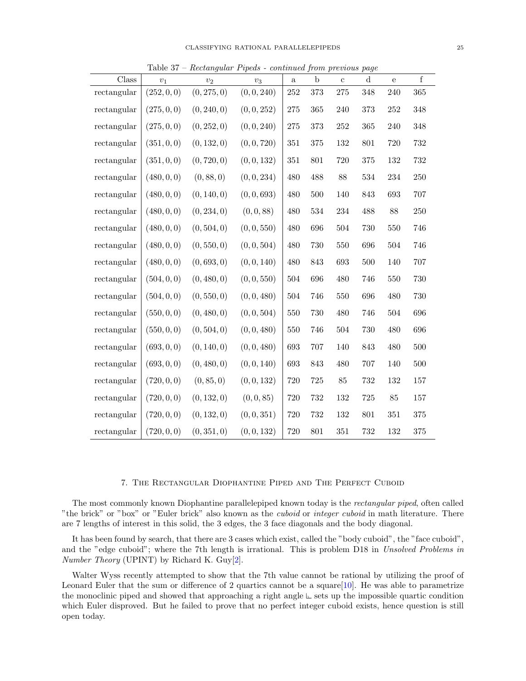| Class       | $v_1$       | $v_2$       | $v_3$       | $\mathbf{a}$ | $\mathbf b$ | $\mathbf{c}$ | $\mathbf d$ | e   | f       |
|-------------|-------------|-------------|-------------|--------------|-------------|--------------|-------------|-----|---------|
| rectangular | (252, 0, 0) | (0, 275, 0) | (0, 0, 240) | 252          | 373         | 275          | 348         | 240 | 365     |
| rectangular | (275, 0, 0) | (0, 240, 0) | (0, 0, 252) | 275          | 365         | 240          | 373         | 252 | 348     |
| rectangular | (275, 0, 0) | (0, 252, 0) | (0, 0, 240) | 275          | 373         | 252          | 365         | 240 | 348     |
| rectangular | (351, 0, 0) | (0, 132, 0) | (0, 0, 720) | 351          | $375\,$     | 132          | 801         | 720 | 732     |
| rectangular | (351, 0, 0) | (0, 720, 0) | (0, 0, 132) | $351\,$      | 801         | 720          | 375         | 132 | 732     |
| rectangular | (480, 0, 0) | (0, 88, 0)  | (0, 0, 234) | 480          | 488         | 88           | 534         | 234 | 250     |
| rectangular | (480, 0, 0) | (0, 140, 0) | (0, 0, 693) | 480          | 500         | 140          | 843         | 693 | 707     |
| rectangular | (480, 0, 0) | (0, 234, 0) | (0, 0, 88)  | 480          | 534         | 234          | 488         | 88  | $250\,$ |
| rectangular | (480, 0, 0) | (0, 504, 0) | (0, 0, 550) | 480          | 696         | 504          | 730         | 550 | 746     |
| rectangular | (480, 0, 0) | (0, 550, 0) | (0, 0, 504) | 480          | 730         | 550          | 696         | 504 | 746     |
| rectangular | (480, 0, 0) | (0,693,0)   | (0, 0, 140) | 480          | 843         | 693          | 500         | 140 | 707     |
| rectangular | (504, 0, 0) | (0, 480, 0) | (0, 0, 550) | 504          | 696         | 480          | 746         | 550 | 730     |
| rectangular | (504, 0, 0) | (0, 550, 0) | (0, 0, 480) | 504          | 746         | 550          | 696         | 480 | 730     |
| rectangular | (550, 0, 0) | (0, 480, 0) | (0, 0, 504) | 550          | 730         | 480          | 746         | 504 | 696     |
| rectangular | (550, 0, 0) | (0, 504, 0) | (0, 0, 480) | 550          | 746         | 504          | 730         | 480 | 696     |
| rectangular | (693, 0, 0) | (0, 140, 0) | (0, 0, 480) | 693          | 707         | 140          | 843         | 480 | 500     |
| rectangular | (693, 0, 0) | (0, 480, 0) | (0, 0, 140) | 693          | 843         | 480          | 707         | 140 | 500     |
| rectangular | (720, 0, 0) | (0, 85, 0)  | (0, 0, 132) | 720          | $725\,$     | 85           | 732         | 132 | 157     |
| rectangular | (720, 0, 0) | (0, 132, 0) | (0, 0, 85)  | 720          | 732         | 132          | 725         | 85  | 157     |
| rectangular | (720, 0, 0) | (0, 132, 0) | (0, 0, 351) | 720          | 732         | 132          | 801         | 351 | $375\,$ |
| rectangular | (720, 0, 0) | (0, 351, 0) | (0, 0, 132) | 720          | 801         | 351          | 732         | 132 | 375     |

Table 37 – Rectangular Pipeds - continued from previous page

## 7. The Rectangular Diophantine Piped and The Perfect Cuboid

The most commonly known Diophantine parallelepiped known today is the rectangular piped, often called "the brick" or "box" or "Euler brick" also known as the *cuboid* or *integer cuboid* in math literature. There are 7 lengths of interest in this solid, the 3 edges, the 3 face diagonals and the body diagonal.

It has been found by search, that there are 3 cases which exist, called the "body cuboid", the "face cuboid", and the "edge cuboid"; where the 7th length is irrational. This is problem D18 in Unsolved Problems in Number Theory (UPINT) by Richard K. Guy[\[2\]](#page-27-5).

Walter Wyss recently attempted to show that the 7th value cannot be rational by utilizing the proof of Leonard Euler that the sum or difference of 2 quartics cannot be a square  $[10]$ . He was able to parametrize the monoclinic piped and showed that approaching a right angle  $E$  sets up the impossible quartic condition which Euler disproved. But he failed to prove that no perfect integer cuboid exists, hence question is still open today.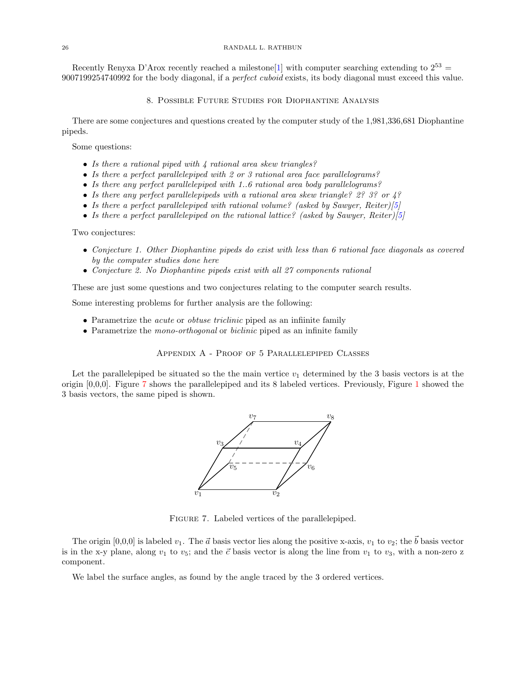Recently Renyxa D'Arox recently reached a milestone<sup>[\[1\]](#page-27-6)</sup> with computer searching extending to  $2^{53} =$ 9007199254740992 for the body diagonal, if a perfect cuboid exists, its body diagonal must exceed this value.

8. Possible Future Studies for Diophantine Analysis

There are some conjectures and questions created by the computer study of the 1,981,336,681 Diophantine pipeds.

Some questions:

- Is there a rational piped with 4 rational area skew triangles?
- Is there a perfect parallelepiped with 2 or 3 rational area face parallelograms?
- Is there any perfect parallelepiped with 1..6 rational area body parallelograms?
- Is there any perfect parallelepipeds with a rational area skew triangle? 2? 3? or  $\frac{1}{2}$
- Is there a perfect parallelepiped with rational volume? (asked by Sawyer, Reiter)[\[5\]](#page-27-2)
- Is there a perfect parallelepiped on the rational lattice? (asked by Sawyer, Reiter)[\[5\]](#page-27-2)

Two conjectures:

- Conjecture 1. Other Diophantine pipeds do exist with less than 6 rational face diagonals as covered by the computer studies done here
- Conjecture 2. No Diophantine pipeds exist with all 27 components rational

These are just some questions and two conjectures relating to the computer search results.

Some interesting problems for further analysis are the following:

- Parametrize the *acute* or *obtuse triclinic* piped as an infiinite family
- Parametrize the *mono-orthogonal* or *biclinic* piped as an infinite family

Appendix A - Proof of 5 Parallelepiped Classes

<span id="page-25-0"></span>Let the parallelepiped be situated so the the main vertice  $v_1$  determined by the 3 basis vectors is at the origin [0,0,0]. Figure [7](#page-25-0) shows the parallelepiped and its 8 labeled vertices. Previously, Figure [1](#page-0-0) showed the 3 basis vectors, the same piped is shown.



Figure 7. Labeled vertices of the parallelepiped.

The origin [0,0,0] is labeled  $v_1$ . The  $\vec{a}$  basis vector lies along the positive x-axis,  $v_1$  to  $v_2$ ; the  $\vec{b}$  basis vector is in the x-y plane, along  $v_1$  to  $v_5$ ; and the  $\vec{c}$  basis vector is along the line from  $v_1$  to  $v_3$ , with a non-zero z component.

We label the surface angles, as found by the angle traced by the 3 ordered vertices.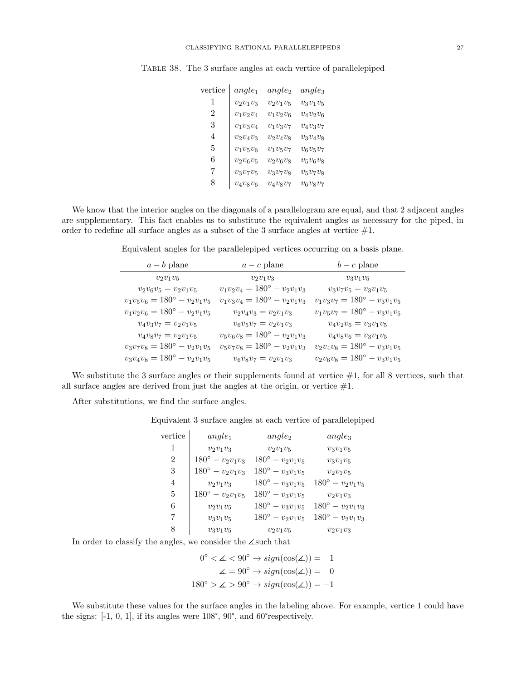| vertice | $angle_1$   | $angle_2$   | $angle_3$   |
|---------|-------------|-------------|-------------|
| 1       | $v_2v_1v_3$ | $v_2v_1v_5$ | $v_3v_1v_5$ |
| 2       | $v_1v_2v_4$ | $v_1v_2v_6$ | $v_4v_2v_6$ |
| 3       | $v_1v_3v_4$ | $v_1v_3v_7$ | $v_4v_3v_7$ |
| 4       | $v_2v_4v_3$ | $v_2v_4v_8$ | $v_3v_4v_8$ |
| 5       | $v_1v_5v_6$ | $v_1v_5v_7$ | $v_6v_5v_7$ |
| 6       | $v_2v_6v_5$ | $v_2v_6v_8$ | $v_5v_6v_8$ |
| 7       | $v_3v_7v_5$ | $v_3v_7v_8$ | $v_5v_7v_8$ |
| 8       | $v_4v_8v_6$ | $v_4v_8v_7$ | $v_6v_8v_7$ |

Table 38. The 3 surface angles at each vertice of parallelepiped

We know that the interior angles on the diagonals of a parallelogram are equal, and that 2 adjacent angles are supplementary. This fact enables us to substitute the equivalent angles as necessary for the piped, in order to redefine all surface angles as a subset of the 3 surface angles at vertice  $#1$ .

Equivalent angles for the parallelepiped vertices occurring on a basis plane.

| $a - b$ plane                       | $a - c$ plane                       | $b - c$ plane                       |
|-------------------------------------|-------------------------------------|-------------------------------------|
| $v_2v_1v_5$                         | $v_2v_1v_3$                         | $v_3v_1v_5$                         |
| $v_2v_6v_5=v_2v_1v_5$               | $v_1v_2v_4 = 180^\circ - v_2v_1v_3$ | $v_3v_7v_5=v_3v_1v_5$               |
| $v_1v_5v_6 = 180^\circ - v_2v_1v_5$ | $v_1v_3v_4 = 180^\circ - v_2v_1v_3$ | $v_1v_3v_7 = 180^\circ - v_3v_1v_5$ |
| $v_1v_2v_6 = 180^\circ - v_2v_1v_5$ | $v_2v_4v_3 = v_2v_1v_3$             | $v_1v_5v_7 = 180^\circ - v_3v_1v_5$ |
| $v_4v_3v_7=v_2v_1v_5$               | $v_6v_5v_7=v_2v_1v_3$               | $v_4v_2v_6=v_3v_1v_5$               |
| $v_4v_8v_7=v_2v_1v_5$               | $v_5v_6v_8=180^\circ-v_2v_1v_3$     | $v_4v_8v_6=v_3v_1v_5$               |
| $v_3v_7v_8=180^\circ-v_2v_1v_5$     | $v_5v_7v_8 = 180^\circ - v_2v_1v_3$ | $v_2v_4v_8=180^\circ-v_3v_1v_5$     |
| $v_3v_4v_8=180^\circ-v_2v_1v_5$     | $v_6v_8v_7=v_2v_1v_3$               | $v_2v_6v_8=180^\circ-v_3v_1v_5$     |

We substitute the 3 surface angles or their supplements found at vertice  $#1$ , for all 8 vertices, such that all surface angles are derived from just the angles at the origin, or vertice  $#1$ .

After substitutions, we find the surface angles.

Equivalent 3 surface angles at each vertice of parallelepiped

| vertice | $angle_1$                 | $angle_2$                 | $angle_3$                 |
|---------|---------------------------|---------------------------|---------------------------|
| 1       | $v_2v_1v_3$               | $v_2v_1v_5$               | $v_3v_1v_5$               |
| 2       | $180^{\circ} - v_2v_1v_3$ | $180^{\circ} - v_2v_1v_5$ | $v_3v_1v_5$               |
| 3       | $180^{\circ} - v_2v_1v_3$ | $180^{\circ} - v_3v_1v_5$ | $v_2v_1v_5$               |
| 4       | $v_2v_1v_3$               | $180^{\circ} - v_3v_1v_5$ | $180^{\circ} - v_2v_1v_5$ |
| 5       | $180^{\circ} - v_2v_1v_5$ | $180^{\circ} - v_3v_1v_5$ | $v_2v_1v_3$               |
| 6       | $v_2v_1v_5$               | $180^{\circ} - v_3v_1v_5$ | $180^{\circ} - v_2v_1v_3$ |
| 7       | $v_3v_1v_5$               | $180^{\circ} - v_2v_1v_5$ | $180^{\circ} - v_2v_1v_3$ |
| 8       | $v_3v_1v_5$               | $v_2v_1v_5$               | $v_2v_1v_3$               |

In order to classify the angles, we consider the  $\angle$ such that

 $0^{\circ} < \angle < 90^{\circ} \rightarrow sign(cos(\angle)) = 1$  $\angle = 90^{\circ} \rightarrow sign(\cos(\angle)) = 0$  $180^\circ > \measuredangle > 90^\circ \rightarrow sign(\cos(\measuredangle)) = -1$ 

We substitute these values for the surface angles in the labeling above. For example, vertice 1 could have the signs: [-1, 0, 1], if its angles were 108°, 90°, and 60°respectively.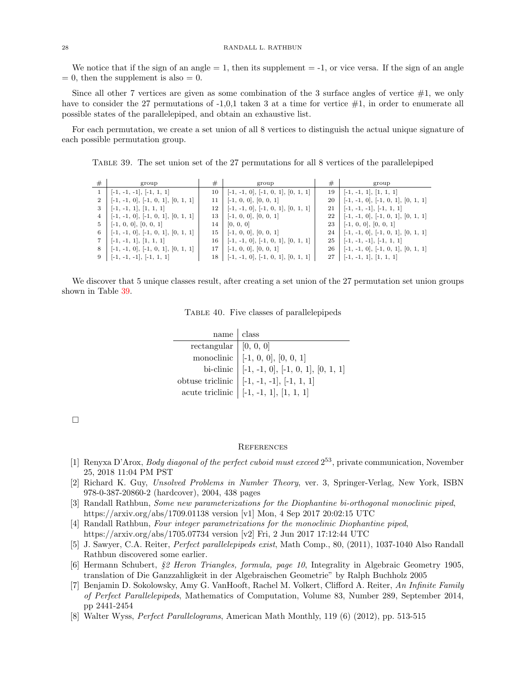We notice that if the sign of an angle  $= 1$ , then its supplement  $= -1$ , or vice versa. If the sign of an angle  $= 0$ , then the supplement is also  $= 0$ .

Since all other 7 vertices are given as some combination of the 3 surface angles of vertice  $#1$ , we only have to consider the 27 permutations of  $-1,0,1$  taken 3 at a time for vertice  $\#1$ , in order to enumerate all possible states of the parallelepiped, and obtain an exhaustive list.

<span id="page-27-7"></span>For each permutation, we create a set union of all 8 vertices to distinguish the actual unique signature of each possible permutation group.

Table 39. The set union set of the 27 permutations for all 8 vertices of the parallelepiped

| #              | group                                | #      | group                                     | #            | group                                |
|----------------|--------------------------------------|--------|-------------------------------------------|--------------|--------------------------------------|
|                | $[-1, -1, -1], [-1, 1, 1]$           | 10     | $[-1, -1, 0], [-1, 0, 1], [0, 1, 1]$      | 19           | $[-1, -1, 1], [1, 1, 1]$             |
| $\overline{2}$ | $[-1, -1, 0], [-1, 0, 1], [0, 1, 1]$ | 11     | $[-1, 0, 0], [0, 0, 1]$                   | 20           | $[-1, -1, 0], [-1, 0, 1], [0, 1, 1]$ |
| 3              | $[-1, -1, 1], [1, 1, 1]$             | 12     | $[-1, -1, 0], [-1, 0, 1], [0, 1, 1]$      | 21           | $[-1, -1, -1], [-1, 1, 1]$           |
| 4              | $[-1, -1, 0], [-1, 0, 1], [0, 1, 1]$ | 13     | $[-1, 0, 0], [0, 0, 1]$                   | $22^{\circ}$ | $[-1, -1, 0], [-1, 0, 1], [0, 1, 1]$ |
| 5              | $[-1, 0, 0], [0, 0, 1]$              | 14     | [0, 0, 0]                                 | 23 l         | $[-1, 0, 0], [0, 0, 1]$              |
| 6              | $[-1, -1, 0], [-1, 0, 1], [0, 1, 1]$ | $15-1$ | $[-1, 0, 0], [0, 0, 1]$                   | 24 l         | $[-1, -1, 0], [-1, 0, 1], [0, 1, 1]$ |
|                | $[-1, -1, 1], [1, 1, 1]$             | 16 l   | $[-1, -1, 0], [-1, 0, 1], [0, 1, 1]$      | 25           | $[-1, -1, -1], [-1, 1, 1]$           |
| 8              | $[-1, -1, 0], [-1, 0, 1], [0, 1, 1]$ | 17     | $[-1, 0, 0], [0, 0, 1]$                   | $26-1$       | $[-1, -1, 0], [-1, 0, 1], [0, 1, 1]$ |
|                | $9$   [-1, -1, -1], [-1, 1, 1]       |        | $18$   [-1, -1, 0], [-1, 0, 1], [0, 1, 1] |              | $27$   [-1, -1, 1], [1, 1, 1]        |

We discover that 5 unique classes result, after creating a set union of the 27 permutation set union groups shown in Table [39.](#page-27-7)

Table 40. Five classes of parallelepipeds

| name   class                         |                                                                                                                                                                         |
|--------------------------------------|-------------------------------------------------------------------------------------------------------------------------------------------------------------------------|
| rectangular   [0, 0, $\overline{0 }$ |                                                                                                                                                                         |
|                                      |                                                                                                                                                                         |
|                                      |                                                                                                                                                                         |
|                                      | monoclinic [-1, 0, 0], [0, 0, 1]<br>bi-clinic [-1, -1, 0], [-1, 0, 1], [0, 1, 1]<br>obtuse triclinic [-1, -1, -1], [-1, 1, 1]<br>acute triclinic [-1, -1, 1], [1, 1, 1] |
|                                      |                                                                                                                                                                         |

 $\Box$ 

### **REFERENCES**

- <span id="page-27-6"></span>[1] Renyxa D'Arox, *Body diagonal of the perfect cuboid must exceed*  $2^{53}$ , private communication, November 25, 2018 11:04 PM PST
- <span id="page-27-5"></span>[2] Richard K. Guy, Unsolved Problems in Number Theory, ver. 3, Springer-Verlag, New York, ISBN 978-0-387-20860-2 (hardcover), 2004, 438 pages
- <span id="page-27-3"></span>[3] Randall Rathbun, Some new parameterizations for the Diophantine bi-orthogonal monoclinic piped, https://arxiv.org/abs/1709.01138 version [v1] Mon, 4 Sep 2017 20:02:15 UTC
- <span id="page-27-4"></span>[4] Randall Rathbun, Four integer parametrizations for the monoclinic Diophantine piped, https://arxiv.org/abs/1705.07734 version [v2] Fri, 2 Jun 2017 17:12:44 UTC
- <span id="page-27-2"></span>[5] J. Sawyer, C.A. Reiter, Perfect parallelepipeds exist, Math Comp., 80, (2011), 1037-1040 Also Randall Rathbun discovered some earlier.
- <span id="page-27-1"></span>[6] Hermann Schubert, §2 Heron Triangles, formula, page 10, Integrality in Algebraic Geometry 1905, translation of Die Ganzzahligkeit in der Algebraischen Geometrie" by Ralph Buchholz 2005
- [7] Benjamin D. Sokolowsky, Amy G. VanHooft, Rachel M. Volkert, Clifford A. Reiter, An Infinite Family of Perfect Parallelepipeds, Mathematics of Computation, Volume 83, Number 289, September 2014, pp 2441-2454
- <span id="page-27-0"></span>[8] Walter Wyss, Perfect Parallelograms, American Math Monthly, 119 (6) (2012), pp. 513-515